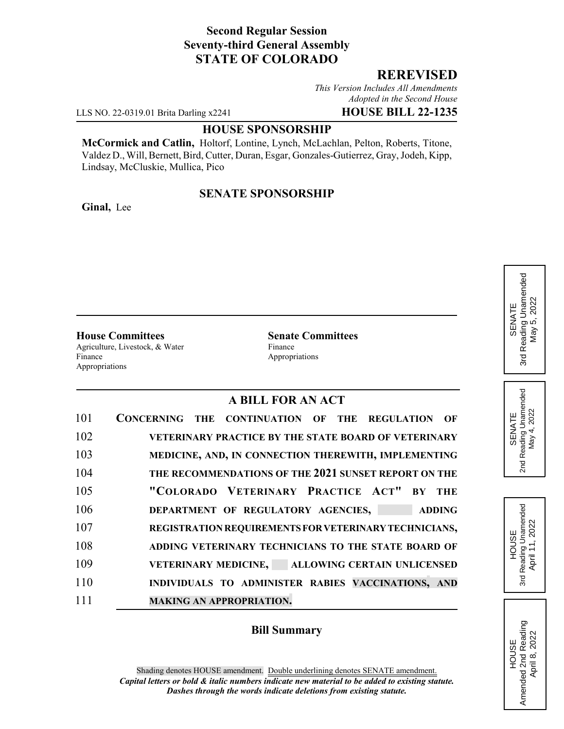## **Second Regular Session Seventy-third General Assembly STATE OF COLORADO**

## **REREVISED**

*This Version Includes All Amendments Adopted in the Second House*

LLS NO. 22-0319.01 Brita Darling x2241 **HOUSE BILL 22-1235**

#### **HOUSE SPONSORSHIP**

**McCormick and Catlin,** Holtorf, Lontine, Lynch, McLachlan, Pelton, Roberts, Titone, Valdez D., Will, Bernett, Bird, Cutter, Duran, Esgar, Gonzales-Gutierrez, Gray, Jodeh, Kipp, Lindsay, McCluskie, Mullica, Pico

## **SENATE SPONSORSHIP**

**Ginal,** Lee

**House Committees Senate Committees** Agriculture, Livestock, & Water Finance Finance Appropriations Appropriations

## **A BILL FOR AN ACT**

| 101 | CONCERNING THE CONTINUATION OF THE REGULATION<br>OF   |
|-----|-------------------------------------------------------|
| 102 | VETERINARY PRACTICE BY THE STATE BOARD OF VETERINARY  |
| 103 | MEDICINE, AND, IN CONNECTION THEREWITH, IMPLEMENTING  |
| 104 | THE RECOMMENDATIONS OF THE 2021 SUNSET REPORT ON THE  |
| 105 | "COLORADO VETERINARY PRACTICE ACT" BY THE             |
| 106 | DEPARTMENT OF REGULATORY AGENCIES,<br><b>ADDING</b>   |
| 107 | REGISTRATION REQUIREMENTS FOR VETERINARY TECHNICIANS, |
| 108 | ADDING VETERINARY TECHNICIANS TO THE STATE BOARD OF   |
| 109 | VETERINARY MEDICINE, ALLOWING CERTAIN UNLICENSED      |
| 110 | INDIVIDUALS TO ADMINISTER RABIES VACCINATIONS, AND    |
| 111 | <b>MAKING AN APPROPRIATION.</b>                       |

## **Bill Summary**

Reading Unamended 3rd Reading Unamended May 5, 2022 May 5, 2022 SENATE 3rd

SENATE<br>2nd Reading Unamended<br>May 4, 2022 2nd Reading Unamended May 4, 2022

HOUSE<br>Reading Unamended 3rd Reading Unamended April 11, 2022 April 11, 2022 3rd

HOUSE Amended 2nd Reading April 8, 2022

Amended 2nd Reading<br>April 8, 2022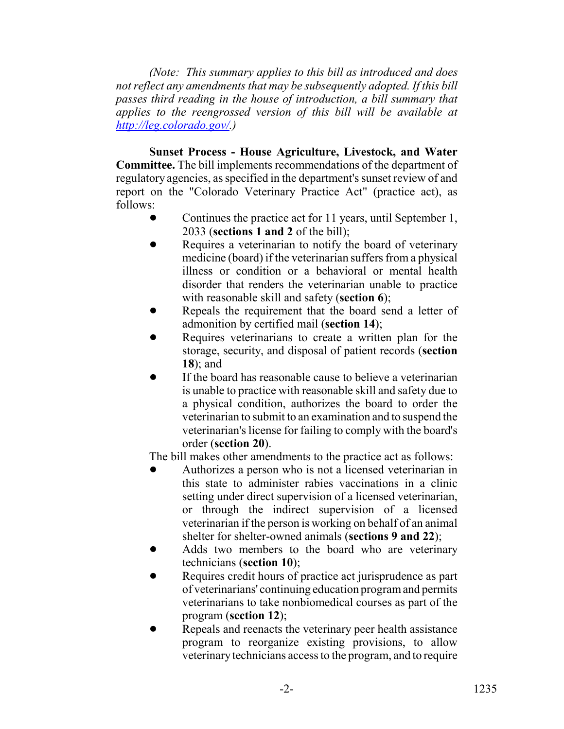*(Note: This summary applies to this bill as introduced and does not reflect any amendments that may be subsequently adopted. If this bill passes third reading in the house of introduction, a bill summary that applies to the reengrossed version of this bill will be available at http://leg.colorado.gov/.)*

**Sunset Process - House Agriculture, Livestock, and Water Committee.** The bill implements recommendations of the department of regulatory agencies, as specified in the department's sunset review of and report on the "Colorado Veterinary Practice Act" (practice act), as follows:

- Continues the practice act for 11 years, until September 1, 2033 (**sections 1 and 2** of the bill);
- Requires a veterinarian to notify the board of veterinary medicine (board) if the veterinarian suffers from a physical illness or condition or a behavioral or mental health disorder that renders the veterinarian unable to practice with reasonable skill and safety (**section 6**);
- Repeals the requirement that the board send a letter of admonition by certified mail (**section 14**);
- Requires veterinarians to create a written plan for the storage, security, and disposal of patient records (**section 18**); and
- If the board has reasonable cause to believe a veterinarian is unable to practice with reasonable skill and safety due to a physical condition, authorizes the board to order the veterinarian to submit to an examination and to suspend the veterinarian's license for failing to comply with the board's order (**section 20**).

The bill makes other amendments to the practice act as follows:

- Authorizes a person who is not a licensed veterinarian in this state to administer rabies vaccinations in a clinic setting under direct supervision of a licensed veterinarian, or through the indirect supervision of a licensed veterinarian if the person is working on behalf of an animal shelter for shelter-owned animals (**sections 9 and 22**);
- Adds two members to the board who are veterinary technicians (**section 10**);
- Requires credit hours of practice act jurisprudence as part of veterinarians' continuing education program and permits veterinarians to take nonbiomedical courses as part of the program (**section 12**);
- Repeals and reenacts the veterinary peer health assistance program to reorganize existing provisions, to allow veterinary technicians access to the program, and to require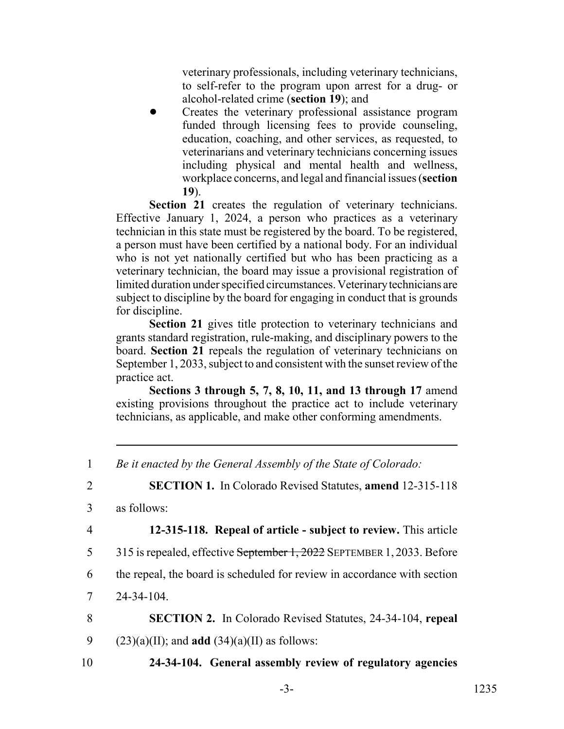veterinary professionals, including veterinary technicians, to self-refer to the program upon arrest for a drug- or alcohol-related crime (**section 19**); and

! Creates the veterinary professional assistance program funded through licensing fees to provide counseling, education, coaching, and other services, as requested, to veterinarians and veterinary technicians concerning issues including physical and mental health and wellness, workplace concerns, and legal and financial issues (**section 19**).

Section 21 creates the regulation of veterinary technicians. Effective January 1, 2024, a person who practices as a veterinary technician in this state must be registered by the board. To be registered, a person must have been certified by a national body. For an individual who is not yet nationally certified but who has been practicing as a veterinary technician, the board may issue a provisional registration of limited duration under specified circumstances. Veterinary technicians are subject to discipline by the board for engaging in conduct that is grounds for discipline.

**Section 21** gives title protection to veterinary technicians and grants standard registration, rule-making, and disciplinary powers to the board. **Section 21** repeals the regulation of veterinary technicians on September 1, 2033, subject to and consistent with the sunset review of the practice act.

**Sections 3 through 5, 7, 8, 10, 11, and 13 through 17** amend existing provisions throughout the practice act to include veterinary technicians, as applicable, and make other conforming amendments.

2 **SECTION 1.** In Colorado Revised Statutes, **amend** 12-315-118

4 **12-315-118. Repeal of article - subject to review.** This article

5 315 is repealed, effective September 1, 2022 SEPTEMBER 1, 2033. Before

6 the repeal, the board is scheduled for review in accordance with section

7 24-34-104.

8 **SECTION 2.** In Colorado Revised Statutes, 24-34-104, **repeal**

- 9 (23)(a)(II); and **add** (34)(a)(II) as follows:
- 10 **24-34-104. General assembly review of regulatory agencies**

<sup>1</sup> *Be it enacted by the General Assembly of the State of Colorado:*

<sup>3</sup> as follows: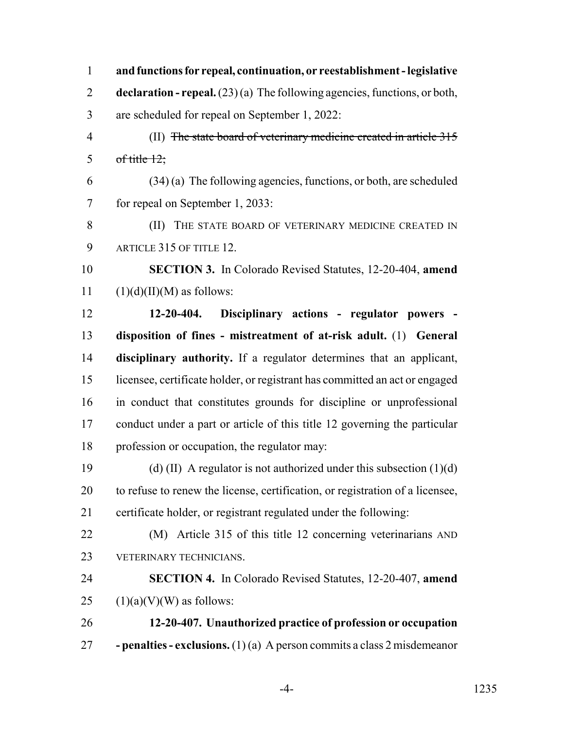| $\mathbf{1}$   | and functions for repeal, continuation, or reestablishment - legislative        |
|----------------|---------------------------------------------------------------------------------|
| $\overline{2}$ | declaration - repeal. $(23)(a)$ The following agencies, functions, or both,     |
| 3              | are scheduled for repeal on September 1, 2022:                                  |
| $\overline{4}$ | (II) The state board of veterinary medicine created in article 315              |
| 5              | of title $12$ ;                                                                 |
| 6              | $(34)$ (a) The following agencies, functions, or both, are scheduled            |
| $\tau$         | for repeal on September 1, 2033:                                                |
| 8              | (II) THE STATE BOARD OF VETERINARY MEDICINE CREATED IN                          |
| 9              | ARTICLE 315 OF TITLE 12.                                                        |
| 10             | <b>SECTION 3.</b> In Colorado Revised Statutes, 12-20-404, amend                |
| 11             | $(1)(d)(II)(M)$ as follows:                                                     |
| 12             | Disciplinary actions - regulator powers -<br>$12 - 20 - 404.$                   |
| 13             | disposition of fines - mistreatment of at-risk adult. (1) General               |
| 14             | disciplinary authority. If a regulator determines that an applicant,            |
| 15             | licensee, certificate holder, or registrant has committed an act or engaged     |
| 16             | in conduct that constitutes grounds for discipline or unprofessional            |
| 17             | conduct under a part or article of this title 12 governing the particular       |
| 18             | profession or occupation, the regulator may:                                    |
| 19             | (d) (II) A regulator is not authorized under this subsection $(1)(d)$           |
| 20             | to refuse to renew the license, certification, or registration of a licensee,   |
| 21             | certificate holder, or registrant regulated under the following:                |
| 22             | (M) Article 315 of this title 12 concerning veterinarians AND                   |
| 23             | VETERINARY TECHNICIANS.                                                         |
| 24             | <b>SECTION 4.</b> In Colorado Revised Statutes, 12-20-407, amend                |
| 25             | $(1)(a)(V)(W)$ as follows:                                                      |
| 26             | 12-20-407. Unauthorized practice of profession or occupation                    |
| 27             | <b>- penalties - exclusions.</b> (1) (a) A person commits a class 2 misdemeanor |

-4- 1235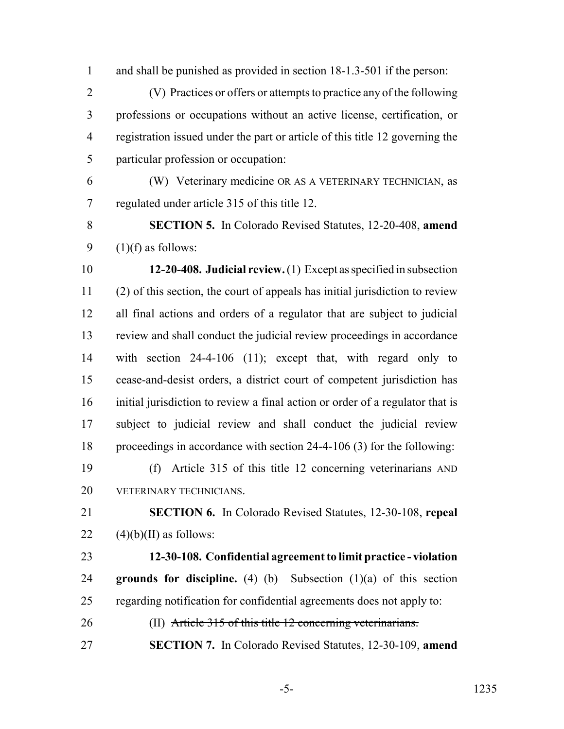and shall be punished as provided in section 18-1.3-501 if the person:

 (V) Practices or offers or attempts to practice any of the following professions or occupations without an active license, certification, or registration issued under the part or article of this title 12 governing the particular profession or occupation:

 (W) Veterinary medicine OR AS A VETERINARY TECHNICIAN, as regulated under article 315 of this title 12.

 **SECTION 5.** In Colorado Revised Statutes, 12-20-408, **amend** 9  $(1)(f)$  as follows:

 **12-20-408. Judicial review.** (1) Except as specified in subsection (2) of this section, the court of appeals has initial jurisdiction to review all final actions and orders of a regulator that are subject to judicial review and shall conduct the judicial review proceedings in accordance with section 24-4-106 (11); except that, with regard only to cease-and-desist orders, a district court of competent jurisdiction has initial jurisdiction to review a final action or order of a regulator that is subject to judicial review and shall conduct the judicial review proceedings in accordance with section 24-4-106 (3) for the following:

 (f) Article 315 of this title 12 concerning veterinarians AND VETERINARY TECHNICIANS.

 **SECTION 6.** In Colorado Revised Statutes, 12-30-108, **repeal** 22  $(4)(b)(II)$  as follows:

 **12-30-108. Confidential agreement to limit practice - violation grounds for discipline.** (4) (b) Subsection (1)(a) of this section regarding notification for confidential agreements does not apply to:

26 (II) Article 315 of this title 12 concerning veterinarians.

**SECTION 7.** In Colorado Revised Statutes, 12-30-109, **amend**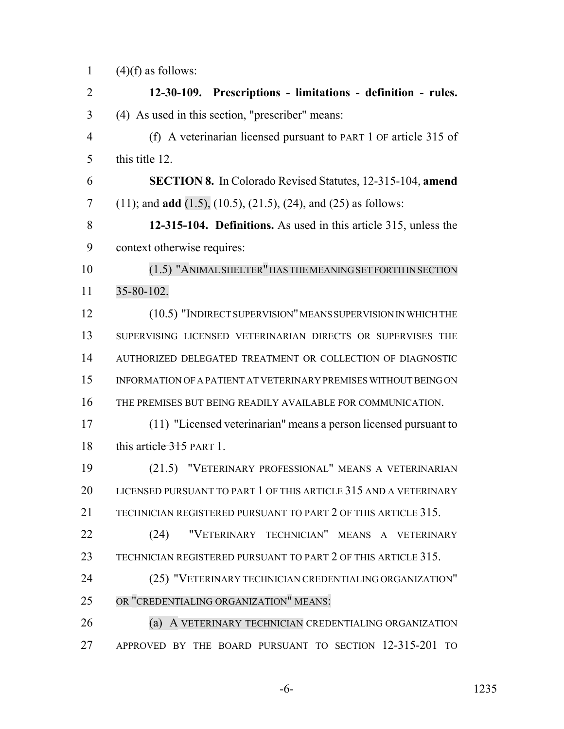1  $(4)(f)$  as follows:

 **12-30-109. Prescriptions - limitations - definition - rules.** (4) As used in this section, "prescriber" means: (f) A veterinarian licensed pursuant to PART 1 OF article 315 of this title 12. **SECTION 8.** In Colorado Revised Statutes, 12-315-104, **amend** (11); and **add** (1.5), (10.5), (21.5), (24), and (25) as follows: **12-315-104. Definitions.** As used in this article 315, unless the context otherwise requires: 10 (1.5) "ANIMAL SHELTER" HAS THE MEANING SET FORTH IN SECTION 35-80-102. (10.5) "INDIRECT SUPERVISION" MEANS SUPERVISION IN WHICH THE SUPERVISING LICENSED VETERINARIAN DIRECTS OR SUPERVISES THE AUTHORIZED DELEGATED TREATMENT OR COLLECTION OF DIAGNOSTIC INFORMATION OF A PATIENT AT VETERINARY PREMISES WITHOUT BEING ON THE PREMISES BUT BEING READILY AVAILABLE FOR COMMUNICATION. (11) "Licensed veterinarian" means a person licensed pursuant to 18 this article 315 PART 1. (21.5) "VETERINARY PROFESSIONAL" MEANS A VETERINARIAN LICENSED PURSUANT TO PART 1 OF THIS ARTICLE 315 AND A VETERINARY 21 TECHNICIAN REGISTERED PURSUANT TO PART 2 OF THIS ARTICLE 315. (24) "VETERINARY TECHNICIAN" MEANS A VETERINARY TECHNICIAN REGISTERED PURSUANT TO PART 2 OF THIS ARTICLE 315. (25) "VETERINARY TECHNICIAN CREDENTIALING ORGANIZATION" OR "CREDENTIALING ORGANIZATION" MEANS: (a) A VETERINARY TECHNICIAN CREDENTIALING ORGANIZATION APPROVED BY THE BOARD PURSUANT TO SECTION 12-315-201 TO

-6- 1235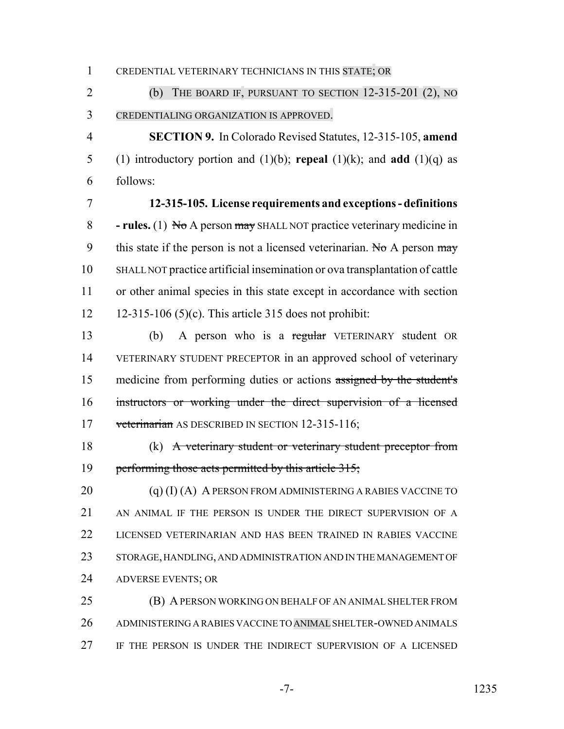CREDENTIAL VETERINARY TECHNICIANS IN THIS STATE; OR

 (b) THE BOARD IF, PURSUANT TO SECTION 12-315-201 (2), NO CREDENTIALING ORGANIZATION IS APPROVED.

 **SECTION 9.** In Colorado Revised Statutes, 12-315-105, **amend** 5 (1) introductory portion and  $(1)(b)$ ; **repeal**  $(1)(k)$ ; and **add**  $(1)(q)$  as follows:

 **12-315-105. License requirements and exceptions - definitions - rules.** (1) No A person may SHALL NOT practice veterinary medicine in 9 this state if the person is not a licensed veterinarian. No A person  $\frac{m}{y}$  SHALL NOT practice artificial insemination or ova transplantation of cattle or other animal species in this state except in accordance with section 12-315-106 (5)(c). This article 315 does not prohibit:

 (b) A person who is a regular VETERINARY student OR VETERINARY STUDENT PRECEPTOR in an approved school of veterinary medicine from performing duties or actions assigned by the student's instructors or working under the direct supervision of a licensed 17 veterinarian AS DESCRIBED IN SECTION 12-315-116;

 (k) A veterinary student or veterinary student preceptor from 19 performing those acts permitted by this article 315;

 $(q)$  (I) (A) A PERSON FROM ADMINISTERING A RABIES VACCINE TO 21 AN ANIMAL IF THE PERSON IS UNDER THE DIRECT SUPERVISION OF A LICENSED VETERINARIAN AND HAS BEEN TRAINED IN RABIES VACCINE STORAGE, HANDLING, AND ADMINISTRATION AND IN THE MANAGEMENT OF ADVERSE EVENTS; OR

 (B) A PERSON WORKING ON BEHALF OF AN ANIMAL SHELTER FROM ADMINISTERING A RABIES VACCINE TO ANIMAL SHELTER-OWNED ANIMALS IF THE PERSON IS UNDER THE INDIRECT SUPERVISION OF A LICENSED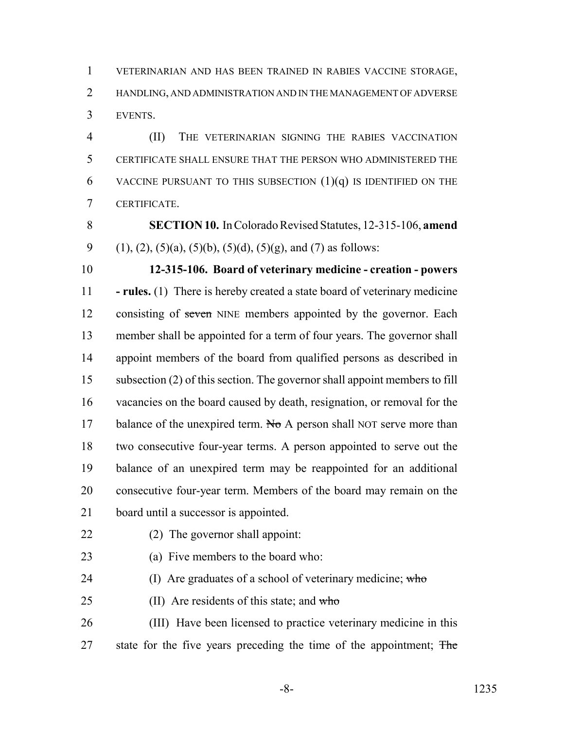VETERINARIAN AND HAS BEEN TRAINED IN RABIES VACCINE STORAGE, HANDLING, AND ADMINISTRATION AND IN THE MANAGEMENT OF ADVERSE EVENTS.

 (II) THE VETERINARIAN SIGNING THE RABIES VACCINATION CERTIFICATE SHALL ENSURE THAT THE PERSON WHO ADMINISTERED THE 6 VACCINE PURSUANT TO THIS SUBSECTION  $(1)(q)$  is identified on the CERTIFICATE.

 **SECTION 10.** In Colorado Revised Statutes, 12-315-106, **amend** 9 (1), (2), (5)(a), (5)(b), (5)(d), (5)(g), and (7) as follows:

 **12-315-106. Board of veterinary medicine - creation - powers - rules.** (1) There is hereby created a state board of veterinary medicine 12 consisting of seven NINE members appointed by the governor. Each member shall be appointed for a term of four years. The governor shall appoint members of the board from qualified persons as described in subsection (2) of this section. The governor shall appoint members to fill vacancies on the board caused by death, resignation, or removal for the 17 balance of the unexpired term. No A person shall NOT serve more than two consecutive four-year terms. A person appointed to serve out the balance of an unexpired term may be reappointed for an additional consecutive four-year term. Members of the board may remain on the board until a successor is appointed.

- (2) The governor shall appoint:
- (a) Five members to the board who:
- 24 (I) Are graduates of a school of veterinary medicine; who
- 25 (II) Are residents of this state; and  $who$

 (III) Have been licensed to practice veterinary medicine in this 27 state for the five years preceding the time of the appointment; The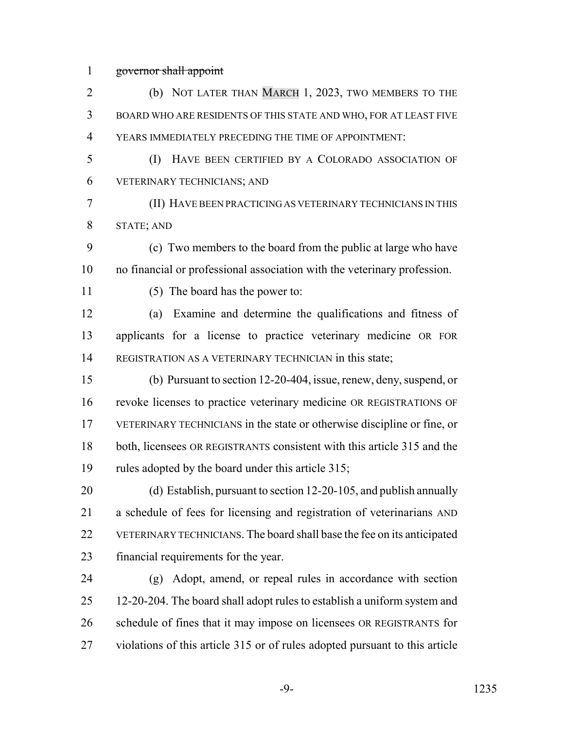governor shall appoint

| $\overline{2}$ | (b) NOT LATER THAN MARCH 1, 2023, TWO MEMBERS TO THE                        |
|----------------|-----------------------------------------------------------------------------|
| 3              | BOARD WHO ARE RESIDENTS OF THIS STATE AND WHO, FOR AT LEAST FIVE            |
| $\overline{4}$ | YEARS IMMEDIATELY PRECEDING THE TIME OF APPOINTMENT:                        |
| 5              | (I)<br>HAVE BEEN CERTIFIED BY A COLORADO ASSOCIATION OF                     |
| 6              | VETERINARY TECHNICIANS; AND                                                 |
| 7              | (II) HAVE BEEN PRACTICING AS VETERINARY TECHNICIANS IN THIS                 |
| 8              | <b>STATE; AND</b>                                                           |
| 9              | (c) Two members to the board from the public at large who have              |
| 10             | no financial or professional association with the veterinary profession.    |
| 11             | (5) The board has the power to:                                             |
| 12             | Examine and determine the qualifications and fitness of<br>(a)              |
| 13             | applicants for a license to practice veterinary medicine OR FOR             |
| 14             | REGISTRATION AS A VETERINARY TECHNICIAN in this state;                      |
| 15             | (b) Pursuant to section 12-20-404, issue, renew, deny, suspend, or          |
| 16             | revoke licenses to practice veterinary medicine OR REGISTRATIONS OF         |
| 17             | VETERINARY TECHNICIANS in the state or otherwise discipline or fine, or     |
| 18             | both, licensees OR REGISTRANTS consistent with this article 315 and the     |
| 19             | rules adopted by the board under this article 315;                          |
| 20             | (d) Establish, pursuant to section 12-20-105, and publish annually          |
| 21             | a schedule of fees for licensing and registration of veterinarians AND      |
| 22             | VETERINARY TECHNICIANS. The board shall base the fee on its anticipated     |
| 23             | financial requirements for the year.                                        |
| 24             | Adopt, amend, or repeal rules in accordance with section<br>(g)             |
| 25             | 12-20-204. The board shall adopt rules to establish a uniform system and    |
| 26             | schedule of fines that it may impose on licensees OR REGISTRANTS for        |
| 27             | violations of this article 315 or of rules adopted pursuant to this article |
|                |                                                                             |

-9- 1235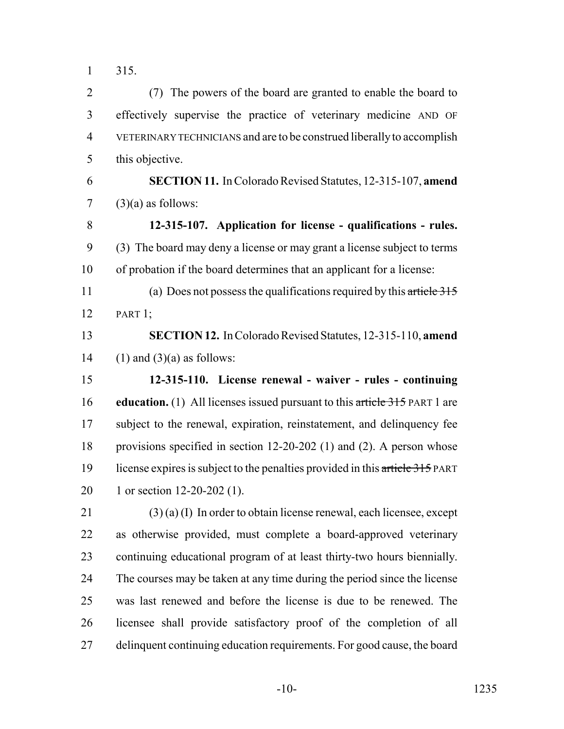315.

 (7) The powers of the board are granted to enable the board to effectively supervise the practice of veterinary medicine AND OF VETERINARY TECHNICIANS and are to be construed liberally to accomplish this objective.

 **SECTION 11.** In Colorado Revised Statutes, 12-315-107, **amend** 7  $(3)(a)$  as follows:

 **12-315-107. Application for license - qualifications - rules.** (3) The board may deny a license or may grant a license subject to terms of probation if the board determines that an applicant for a license:

11 (a) Does not possess the qualifications required by this article 315 PART 1;

 **SECTION 12.** In Colorado Revised Statutes, 12-315-110, **amend** 14 (1) and  $(3)(a)$  as follows:

 **12-315-110. License renewal - waiver - rules - continuing education.** (1) All licenses issued pursuant to this article 315 PART 1 are subject to the renewal, expiration, reinstatement, and delinquency fee provisions specified in section 12-20-202 (1) and (2). A person whose 19 license expires is subject to the penalties provided in this article 315 PART 20 1 or section 12-20-202 (1).

 (3) (a) (I) In order to obtain license renewal, each licensee, except as otherwise provided, must complete a board-approved veterinary continuing educational program of at least thirty-two hours biennially. The courses may be taken at any time during the period since the license was last renewed and before the license is due to be renewed. The licensee shall provide satisfactory proof of the completion of all delinquent continuing education requirements. For good cause, the board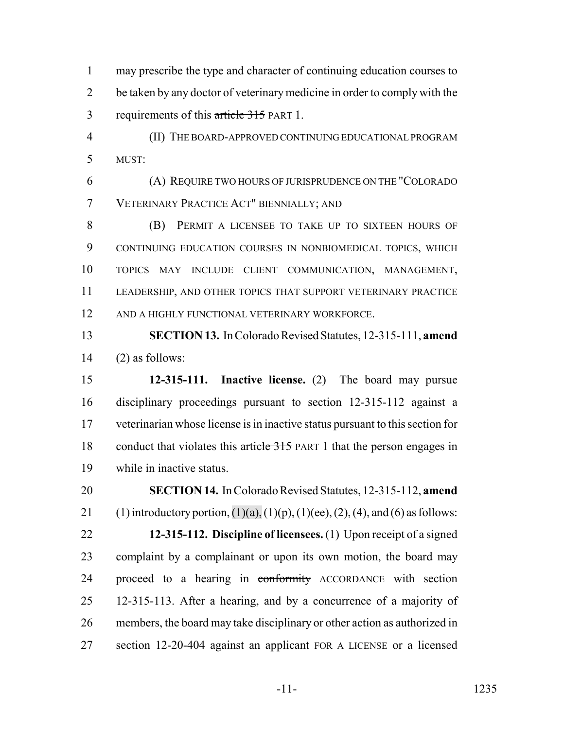may prescribe the type and character of continuing education courses to 2 be taken by any doctor of veterinary medicine in order to comply with the 3 requirements of this article 315 PART 1.

 (II) THE BOARD-APPROVED CONTINUING EDUCATIONAL PROGRAM MUST:

 (A) REQUIRE TWO HOURS OF JURISPRUDENCE ON THE "COLORADO VETERINARY PRACTICE ACT" BIENNIALLY; AND

 (B) PERMIT A LICENSEE TO TAKE UP TO SIXTEEN HOURS OF CONTINUING EDUCATION COURSES IN NONBIOMEDICAL TOPICS, WHICH TOPICS MAY INCLUDE CLIENT COMMUNICATION, MANAGEMENT, LEADERSHIP, AND OTHER TOPICS THAT SUPPORT VETERINARY PRACTICE AND A HIGHLY FUNCTIONAL VETERINARY WORKFORCE.

 **SECTION 13.** In Colorado Revised Statutes, 12-315-111, **amend** (2) as follows:

 **12-315-111. Inactive license.** (2) The board may pursue disciplinary proceedings pursuant to section 12-315-112 against a veterinarian whose license is in inactive status pursuant to this section for 18 conduct that violates this article 315 PART 1 that the person engages in while in inactive status.

 **SECTION 14.** In Colorado Revised Statutes, 12-315-112, **amend** 21 (1) introductory portion,  $(1)(a)$ ,  $(1)(p)$ ,  $(1)(ee)$ ,  $(2)$ ,  $(4)$ , and  $(6)$  as follows: **12-315-112. Discipline of licensees.** (1) Upon receipt of a signed complaint by a complainant or upon its own motion, the board may 24 proceed to a hearing in conformity ACCORDANCE with section 12-315-113. After a hearing, and by a concurrence of a majority of members, the board may take disciplinary or other action as authorized in section 12-20-404 against an applicant FOR A LICENSE or a licensed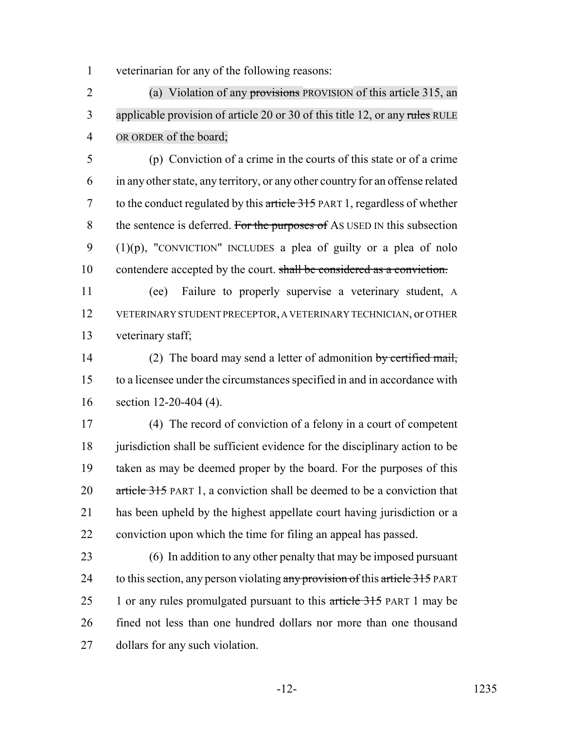veterinarian for any of the following reasons:

 (a) Violation of any provisions PROVISION of this article 315, an 3 applicable provision of article 20 or 30 of this title 12, or any rules RULE OR ORDER of the board;

 (p) Conviction of a crime in the courts of this state or of a crime in any other state, any territory, or any other country for an offense related to the conduct regulated by this article 315 PART 1, regardless of whether 8 the sentence is deferred. For the purposes of AS USED IN this subsection  $(1)(p)$ , "CONVICTION" INCLUDES a plea of guilty or a plea of nolo 10 contendere accepted by the court. shall be considered as a conviction.

 (ee) Failure to properly supervise a veterinary student, A VETERINARY STUDENT PRECEPTOR, A VETERINARY TECHNICIAN, or OTHER veterinary staff;

14 (2) The board may send a letter of admonition by certified mail, to a licensee under the circumstances specified in and in accordance with section 12-20-404 (4).

 (4) The record of conviction of a felony in a court of competent 18 jurisdiction shall be sufficient evidence for the disciplinary action to be taken as may be deemed proper by the board. For the purposes of this 20 article 315 PART 1, a conviction shall be deemed to be a conviction that has been upheld by the highest appellate court having jurisdiction or a conviction upon which the time for filing an appeal has passed.

 (6) In addition to any other penalty that may be imposed pursuant 24 to this section, any person violating any provision of this article 315 PART 25 1 or any rules promulgated pursuant to this article 315 PART 1 may be fined not less than one hundred dollars nor more than one thousand dollars for any such violation.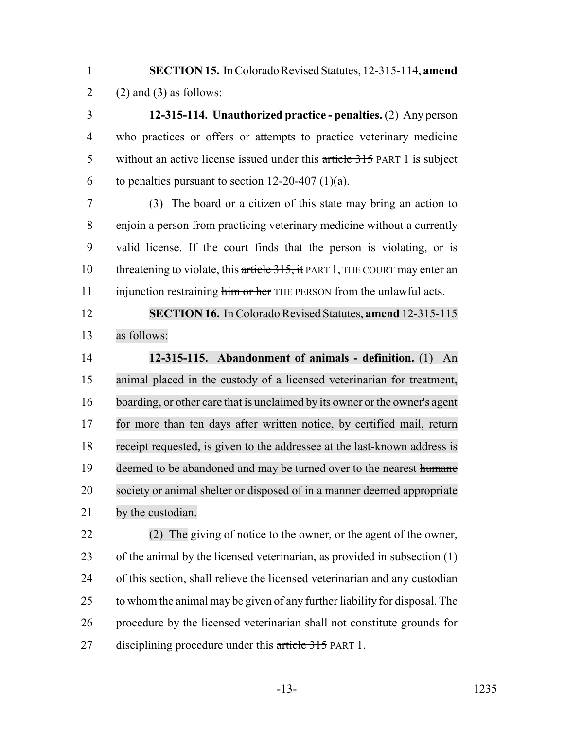**SECTION 15.** In Colorado Revised Statutes, 12-315-114, **amend** 2 (2) and (3) as follows:

 **12-315-114. Unauthorized practice - penalties.** (2) Any person who practices or offers or attempts to practice veterinary medicine 5 without an active license issued under this article 315 PART 1 is subject 6 to penalties pursuant to section  $12-20-407$  (1)(a).

 (3) The board or a citizen of this state may bring an action to enjoin a person from practicing veterinary medicine without a currently valid license. If the court finds that the person is violating, or is 10 threatening to violate, this article 315, it PART 1, THE COURT may enter an 11 injunction restraining him or her THE PERSON from the unlawful acts.

 **SECTION 16.** In Colorado Revised Statutes, **amend** 12-315-115 as follows:

 **12-315-115. Abandonment of animals - definition.** (1) An animal placed in the custody of a licensed veterinarian for treatment, boarding, or other care that is unclaimed by its owner or the owner's agent for more than ten days after written notice, by certified mail, return receipt requested, is given to the addressee at the last-known address is 19 deemed to be abandoned and may be turned over to the nearest humane 20 society or animal shelter or disposed of in a manner deemed appropriate by the custodian.

 (2) The giving of notice to the owner, or the agent of the owner, of the animal by the licensed veterinarian, as provided in subsection (1) of this section, shall relieve the licensed veterinarian and any custodian to whom the animal may be given of any further liability for disposal. The procedure by the licensed veterinarian shall not constitute grounds for 27 disciplining procedure under this article 315 PART 1.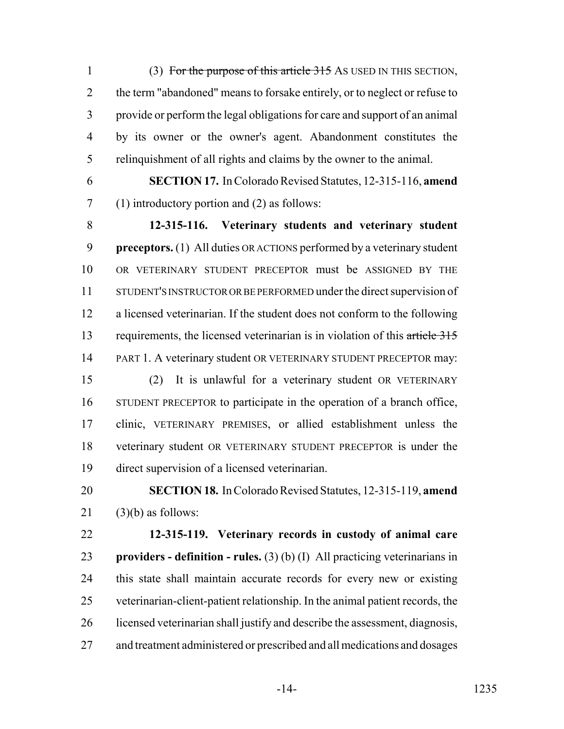1 (3) For the purpose of this article 315 AS USED IN THIS SECTION, 2 the term "abandoned" means to forsake entirely, or to neglect or refuse to provide or perform the legal obligations for care and support of an animal by its owner or the owner's agent. Abandonment constitutes the relinquishment of all rights and claims by the owner to the animal.

 **SECTION 17.** In Colorado Revised Statutes, 12-315-116, **amend** (1) introductory portion and (2) as follows:

 **12-315-116. Veterinary students and veterinary student preceptors.** (1) All duties OR ACTIONS performed by a veterinary student OR VETERINARY STUDENT PRECEPTOR must be ASSIGNED BY THE STUDENT'S INSTRUCTOR OR BE PERFORMED under the direct supervision of a licensed veterinarian. If the student does not conform to the following 13 requirements, the licensed veterinarian is in violation of this article 315 14 PART 1. A veterinary student OR VETERINARY STUDENT PRECEPTOR may: (2) It is unlawful for a veterinary student OR VETERINARY STUDENT PRECEPTOR to participate in the operation of a branch office, clinic, VETERINARY PREMISES, or allied establishment unless the veterinary student OR VETERINARY STUDENT PRECEPTOR is under the direct supervision of a licensed veterinarian.

## **SECTION 18.** In Colorado Revised Statutes, 12-315-119, **amend** (3)(b) as follows:

 **12-315-119. Veterinary records in custody of animal care providers - definition - rules.** (3) (b) (I) All practicing veterinarians in this state shall maintain accurate records for every new or existing veterinarian-client-patient relationship. In the animal patient records, the licensed veterinarian shall justify and describe the assessment, diagnosis, and treatment administered or prescribed and all medications and dosages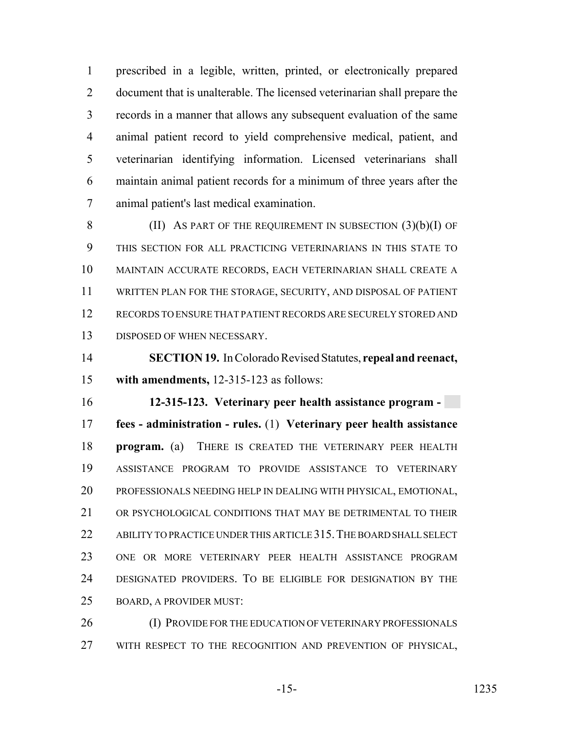prescribed in a legible, written, printed, or electronically prepared document that is unalterable. The licensed veterinarian shall prepare the records in a manner that allows any subsequent evaluation of the same animal patient record to yield comprehensive medical, patient, and veterinarian identifying information. Licensed veterinarians shall maintain animal patient records for a minimum of three years after the animal patient's last medical examination.

8 (II) AS PART OF THE REQUIREMENT IN SUBSECTION  $(3)(b)(I)$  OF THIS SECTION FOR ALL PRACTICING VETERINARIANS IN THIS STATE TO MAINTAIN ACCURATE RECORDS, EACH VETERINARIAN SHALL CREATE A WRITTEN PLAN FOR THE STORAGE, SECURITY, AND DISPOSAL OF PATIENT RECORDS TO ENSURE THAT PATIENT RECORDS ARE SECURELY STORED AND DISPOSED OF WHEN NECESSARY.

 **SECTION 19.** In Colorado Revised Statutes, **repeal and reenact, with amendments,** 12-315-123 as follows:

 **12-315-123. Veterinary peer health assistance program - fees - administration - rules.** (1) **Veterinary peer health assistance program.** (a) THERE IS CREATED THE VETERINARY PEER HEALTH ASSISTANCE PROGRAM TO PROVIDE ASSISTANCE TO VETERINARY PROFESSIONALS NEEDING HELP IN DEALING WITH PHYSICAL, EMOTIONAL, 21 OR PSYCHOLOGICAL CONDITIONS THAT MAY BE DETRIMENTAL TO THEIR 22 ABILITY TO PRACTICE UNDER THIS ARTICLE 315. THE BOARD SHALL SELECT ONE OR MORE VETERINARY PEER HEALTH ASSISTANCE PROGRAM DESIGNATED PROVIDERS. TO BE ELIGIBLE FOR DESIGNATION BY THE BOARD, A PROVIDER MUST:

26 (I) PROVIDE FOR THE EDUCATION OF VETERINARY PROFESSIONALS WITH RESPECT TO THE RECOGNITION AND PREVENTION OF PHYSICAL,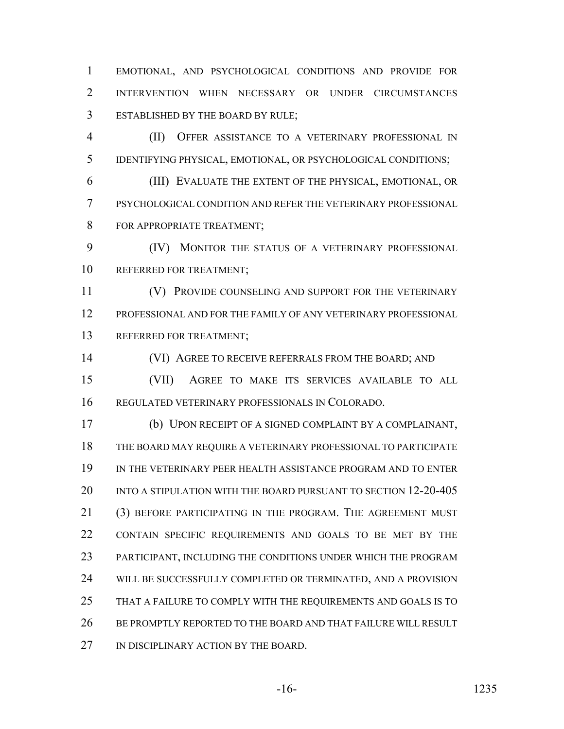EMOTIONAL, AND PSYCHOLOGICAL CONDITIONS AND PROVIDE FOR INTERVENTION WHEN NECESSARY OR UNDER CIRCUMSTANCES ESTABLISHED BY THE BOARD BY RULE;

 (II) OFFER ASSISTANCE TO A VETERINARY PROFESSIONAL IN IDENTIFYING PHYSICAL, EMOTIONAL, OR PSYCHOLOGICAL CONDITIONS;

 (III) EVALUATE THE EXTENT OF THE PHYSICAL, EMOTIONAL, OR PSYCHOLOGICAL CONDITION AND REFER THE VETERINARY PROFESSIONAL 8 FOR APPROPRIATE TREATMENT:

 (IV) MONITOR THE STATUS OF A VETERINARY PROFESSIONAL REFERRED FOR TREATMENT;

11 (V) PROVIDE COUNSELING AND SUPPORT FOR THE VETERINARY PROFESSIONAL AND FOR THE FAMILY OF ANY VETERINARY PROFESSIONAL REFERRED FOR TREATMENT;

14 (VI) AGREE TO RECEIVE REFERRALS FROM THE BOARD; AND (VII) AGREE TO MAKE ITS SERVICES AVAILABLE TO ALL

REGULATED VETERINARY PROFESSIONALS IN COLORADO.

 (b) UPON RECEIPT OF A SIGNED COMPLAINT BY A COMPLAINANT, THE BOARD MAY REQUIRE A VETERINARY PROFESSIONAL TO PARTICIPATE IN THE VETERINARY PEER HEALTH ASSISTANCE PROGRAM AND TO ENTER INTO A STIPULATION WITH THE BOARD PURSUANT TO SECTION 12-20-405 (3) BEFORE PARTICIPATING IN THE PROGRAM. THE AGREEMENT MUST CONTAIN SPECIFIC REQUIREMENTS AND GOALS TO BE MET BY THE PARTICIPANT, INCLUDING THE CONDITIONS UNDER WHICH THE PROGRAM WILL BE SUCCESSFULLY COMPLETED OR TERMINATED, AND A PROVISION THAT A FAILURE TO COMPLY WITH THE REQUIREMENTS AND GOALS IS TO 26 BE PROMPTLY REPORTED TO THE BOARD AND THAT FAILURE WILL RESULT 27 IN DISCIPLINARY ACTION BY THE BOARD.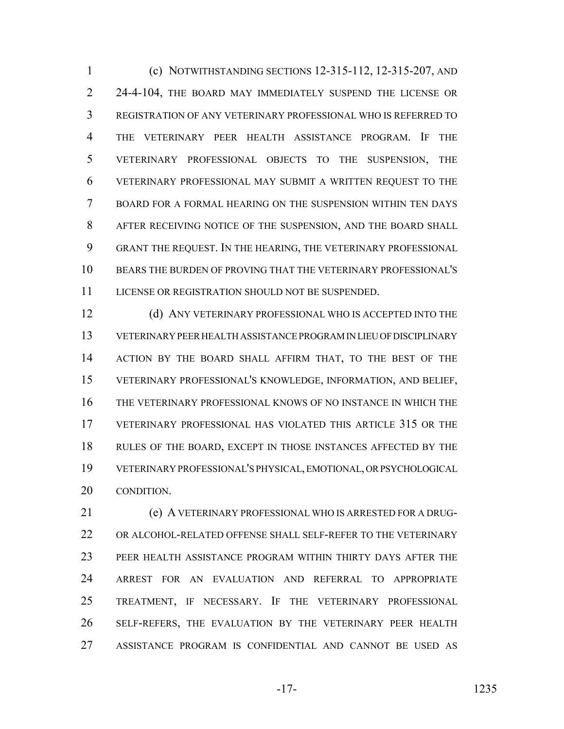(c) NOTWITHSTANDING SECTIONS 12-315-112, 12-315-207, AND 2 24-4-104, THE BOARD MAY IMMEDIATELY SUSPEND THE LICENSE OR REGISTRATION OF ANY VETERINARY PROFESSIONAL WHO IS REFERRED TO THE VETERINARY PEER HEALTH ASSISTANCE PROGRAM. IF THE VETERINARY PROFESSIONAL OBJECTS TO THE SUSPENSION, THE VETERINARY PROFESSIONAL MAY SUBMIT A WRITTEN REQUEST TO THE BOARD FOR A FORMAL HEARING ON THE SUSPENSION WITHIN TEN DAYS AFTER RECEIVING NOTICE OF THE SUSPENSION, AND THE BOARD SHALL GRANT THE REQUEST. IN THE HEARING, THE VETERINARY PROFESSIONAL BEARS THE BURDEN OF PROVING THAT THE VETERINARY PROFESSIONAL'S LICENSE OR REGISTRATION SHOULD NOT BE SUSPENDED.

12 (d) ANY VETERINARY PROFESSIONAL WHO IS ACCEPTED INTO THE VETERINARY PEER HEALTH ASSISTANCE PROGRAM IN LIEU OF DISCIPLINARY ACTION BY THE BOARD SHALL AFFIRM THAT, TO THE BEST OF THE VETERINARY PROFESSIONAL'S KNOWLEDGE, INFORMATION, AND BELIEF, THE VETERINARY PROFESSIONAL KNOWS OF NO INSTANCE IN WHICH THE VETERINARY PROFESSIONAL HAS VIOLATED THIS ARTICLE 315 OR THE RULES OF THE BOARD, EXCEPT IN THOSE INSTANCES AFFECTED BY THE VETERINARY PROFESSIONAL'S PHYSICAL, EMOTIONAL, OR PSYCHOLOGICAL CONDITION.

 (e) A VETERINARY PROFESSIONAL WHO IS ARRESTED FOR A DRUG- OR ALCOHOL-RELATED OFFENSE SHALL SELF-REFER TO THE VETERINARY PEER HEALTH ASSISTANCE PROGRAM WITHIN THIRTY DAYS AFTER THE ARREST FOR AN EVALUATION AND REFERRAL TO APPROPRIATE TREATMENT, IF NECESSARY. IF THE VETERINARY PROFESSIONAL SELF-REFERS, THE EVALUATION BY THE VETERINARY PEER HEALTH ASSISTANCE PROGRAM IS CONFIDENTIAL AND CANNOT BE USED AS

-17- 1235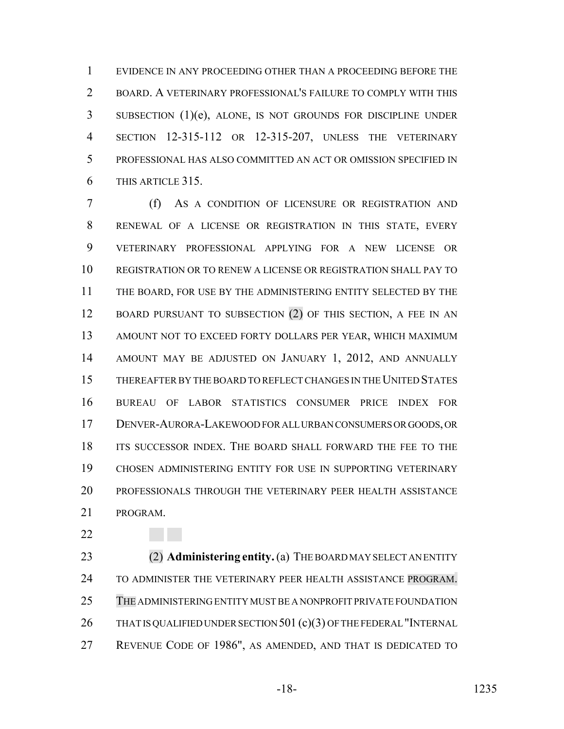EVIDENCE IN ANY PROCEEDING OTHER THAN A PROCEEDING BEFORE THE BOARD. A VETERINARY PROFESSIONAL'S FAILURE TO COMPLY WITH THIS SUBSECTION (1)(e), ALONE, IS NOT GROUNDS FOR DISCIPLINE UNDER SECTION 12-315-112 OR 12-315-207, UNLESS THE VETERINARY PROFESSIONAL HAS ALSO COMMITTED AN ACT OR OMISSION SPECIFIED IN THIS ARTICLE 315.

 (f) AS A CONDITION OF LICENSURE OR REGISTRATION AND RENEWAL OF A LICENSE OR REGISTRATION IN THIS STATE, EVERY VETERINARY PROFESSIONAL APPLYING FOR A NEW LICENSE OR REGISTRATION OR TO RENEW A LICENSE OR REGISTRATION SHALL PAY TO THE BOARD, FOR USE BY THE ADMINISTERING ENTITY SELECTED BY THE 12 BOARD PURSUANT TO SUBSECTION (2) OF THIS SECTION, A FEE IN AN AMOUNT NOT TO EXCEED FORTY DOLLARS PER YEAR, WHICH MAXIMUM AMOUNT MAY BE ADJUSTED ON JANUARY 1, 2012, AND ANNUALLY THEREAFTER BY THE BOARD TO REFLECT CHANGES IN THE UNITED STATES BUREAU OF LABOR STATISTICS CONSUMER PRICE INDEX FOR DENVER-AURORA-LAKEWOOD FOR ALL URBAN CONSUMERS OR GOODS, OR ITS SUCCESSOR INDEX. THE BOARD SHALL FORWARD THE FEE TO THE CHOSEN ADMINISTERING ENTITY FOR USE IN SUPPORTING VETERINARY PROFESSIONALS THROUGH THE VETERINARY PEER HEALTH ASSISTANCE PROGRAM.

 (2) **Administering entity.** (a) THE BOARD MAY SELECT AN ENTITY TO ADMINISTER THE VETERINARY PEER HEALTH ASSISTANCE PROGRAM. THE ADMINISTERING ENTITY MUST BE A NONPROFIT PRIVATE FOUNDATION 26 THAT IS QUALIFIED UNDER SECTION 501 (c)(3) OF THE FEDERAL "INTERNAL REVENUE CODE OF 1986", AS AMENDED, AND THAT IS DEDICATED TO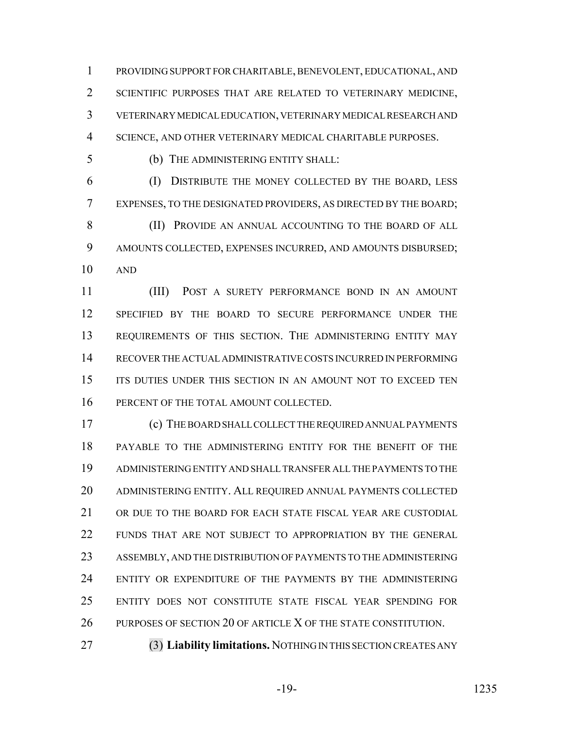PROVIDING SUPPORT FOR CHARITABLE, BENEVOLENT, EDUCATIONAL, AND 2 SCIENTIFIC PURPOSES THAT ARE RELATED TO VETERINARY MEDICINE, VETERINARY MEDICAL EDUCATION, VETERINARY MEDICAL RESEARCH AND SCIENCE, AND OTHER VETERINARY MEDICAL CHARITABLE PURPOSES.

(b) THE ADMINISTERING ENTITY SHALL:

 (I) DISTRIBUTE THE MONEY COLLECTED BY THE BOARD, LESS EXPENSES, TO THE DESIGNATED PROVIDERS, AS DIRECTED BY THE BOARD; 8 (II) PROVIDE AN ANNUAL ACCOUNTING TO THE BOARD OF ALL AMOUNTS COLLECTED, EXPENSES INCURRED, AND AMOUNTS DISBURSED; AND

 (III) POST A SURETY PERFORMANCE BOND IN AN AMOUNT SPECIFIED BY THE BOARD TO SECURE PERFORMANCE UNDER THE REQUIREMENTS OF THIS SECTION. THE ADMINISTERING ENTITY MAY RECOVER THE ACTUAL ADMINISTRATIVE COSTS INCURRED IN PERFORMING 15 ITS DUTIES UNDER THIS SECTION IN AN AMOUNT NOT TO EXCEED TEN 16 PERCENT OF THE TOTAL AMOUNT COLLECTED.

 (c) THE BOARD SHALL COLLECT THE REQUIRED ANNUAL PAYMENTS PAYABLE TO THE ADMINISTERING ENTITY FOR THE BENEFIT OF THE ADMINISTERING ENTITY AND SHALL TRANSFER ALL THE PAYMENTS TO THE ADMINISTERING ENTITY. ALL REQUIRED ANNUAL PAYMENTS COLLECTED OR DUE TO THE BOARD FOR EACH STATE FISCAL YEAR ARE CUSTODIAL FUNDS THAT ARE NOT SUBJECT TO APPROPRIATION BY THE GENERAL ASSEMBLY, AND THE DISTRIBUTION OF PAYMENTS TO THE ADMINISTERING ENTITY OR EXPENDITURE OF THE PAYMENTS BY THE ADMINISTERING ENTITY DOES NOT CONSTITUTE STATE FISCAL YEAR SPENDING FOR PURPOSES OF SECTION 20 OF ARTICLE X OF THE STATE CONSTITUTION.

(3) **Liability limitations.** NOTHING IN THIS SECTION CREATES ANY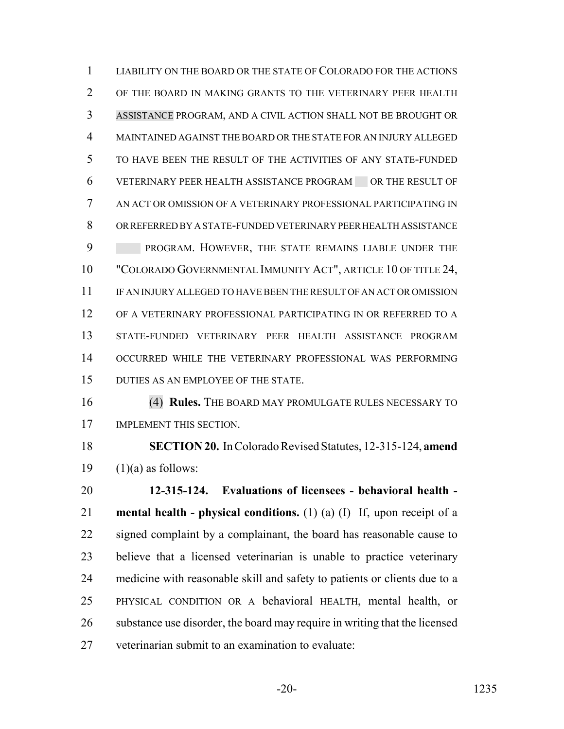LIABILITY ON THE BOARD OR THE STATE OF COLORADO FOR THE ACTIONS OF THE BOARD IN MAKING GRANTS TO THE VETERINARY PEER HEALTH ASSISTANCE PROGRAM, AND A CIVIL ACTION SHALL NOT BE BROUGHT OR MAINTAINED AGAINST THE BOARD OR THE STATE FOR AN INJURY ALLEGED TO HAVE BEEN THE RESULT OF THE ACTIVITIES OF ANY STATE-FUNDED VETERINARY PEER HEALTH ASSISTANCE PROGRAM OR THE RESULT OF AN ACT OR OMISSION OF A VETERINARY PROFESSIONAL PARTICIPATING IN OR REFERRED BY A STATE-FUNDED VETERINARY PEER HEALTH ASSISTANCE 9 PROGRAM. HOWEVER, THE STATE REMAINS LIABLE UNDER THE "COLORADO GOVERNMENTAL IMMUNITY ACT", ARTICLE 10 OF TITLE 24, IF AN INJURY ALLEGED TO HAVE BEEN THE RESULT OF AN ACT OR OMISSION OF A VETERINARY PROFESSIONAL PARTICIPATING IN OR REFERRED TO A STATE-FUNDED VETERINARY PEER HEALTH ASSISTANCE PROGRAM OCCURRED WHILE THE VETERINARY PROFESSIONAL WAS PERFORMING DUTIES AS AN EMPLOYEE OF THE STATE.

 (4) **Rules.** THE BOARD MAY PROMULGATE RULES NECESSARY TO IMPLEMENT THIS SECTION.

 **SECTION 20.** In Colorado Revised Statutes, 12-315-124, **amend** 19  $(1)(a)$  as follows:

 **12-315-124. Evaluations of licensees - behavioral health - mental health - physical conditions.** (1) (a) (I) If, upon receipt of a 22 signed complaint by a complainant, the board has reasonable cause to believe that a licensed veterinarian is unable to practice veterinary medicine with reasonable skill and safety to patients or clients due to a PHYSICAL CONDITION OR A behavioral HEALTH, mental health, or substance use disorder, the board may require in writing that the licensed veterinarian submit to an examination to evaluate: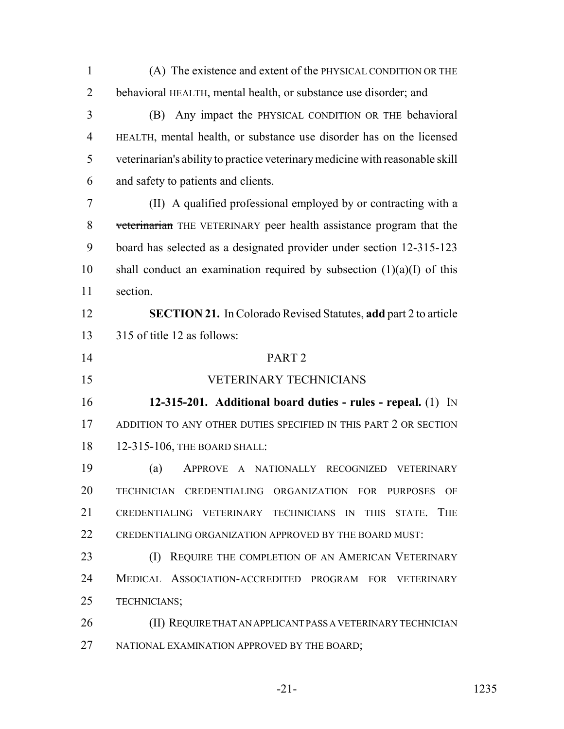| $\mathbf{1}$   | (A) The existence and extent of the PHYSICAL CONDITION OR THE                |
|----------------|------------------------------------------------------------------------------|
| $\overline{2}$ | behavioral HEALTH, mental health, or substance use disorder; and             |
| 3              | Any impact the PHYSICAL CONDITION OR THE behavioral<br>(B)                   |
| $\overline{4}$ | HEALTH, mental health, or substance use disorder has on the licensed         |
| 5              | veterinarian's ability to practice veterinary medicine with reasonable skill |
| 6              | and safety to patients and clients.                                          |
| 7              | (II) A qualified professional employed by or contracting with $\alpha$       |
| 8              | veterinarian THE VETERINARY peer health assistance program that the          |
| 9              | board has selected as a designated provider under section 12-315-123         |
| 10             | shall conduct an examination required by subsection $(1)(a)(I)$ of this      |
| 11             | section.                                                                     |
| 12             | <b>SECTION 21.</b> In Colorado Revised Statutes, add part 2 to article       |
| 13             | 315 of title 12 as follows:                                                  |
| 14             | PART <sub>2</sub>                                                            |
| 15             | <b>VETERINARY TECHNICIANS</b>                                                |
| 16             | 12-315-201. Additional board duties - rules - repeal. (1) IN                 |
| 17             | ADDITION TO ANY OTHER DUTIES SPECIFIED IN THIS PART 2 OR SECTION             |
| 18             | 12-315-106, THE BOARD SHALL:                                                 |
| 19             | A NATIONALLY RECOGNIZED VETERINARY<br>(a)<br><b>APPROVE</b>                  |
| 20             | TECHNICIAN CREDENTIALING ORGANIZATION FOR PURPOSES<br>OF                     |
| 21             | CREDENTIALING VETERINARY TECHNICIANS IN THIS STATE. THE                      |
| 22             | CREDENTIALING ORGANIZATION APPROVED BY THE BOARD MUST:                       |
| 23             | REQUIRE THE COMPLETION OF AN AMERICAN VETERINARY<br>(I)                      |
| 24             | MEDICAL ASSOCIATION-ACCREDITED PROGRAM FOR VETERINARY                        |
| 25             | TECHNICIANS;                                                                 |
| 26             | (II) REQUIRE THAT AN APPLICANT PASS A VETERINARY TECHNICIAN                  |
| 27             | NATIONAL EXAMINATION APPROVED BY THE BOARD;                                  |
|                |                                                                              |

-21- 1235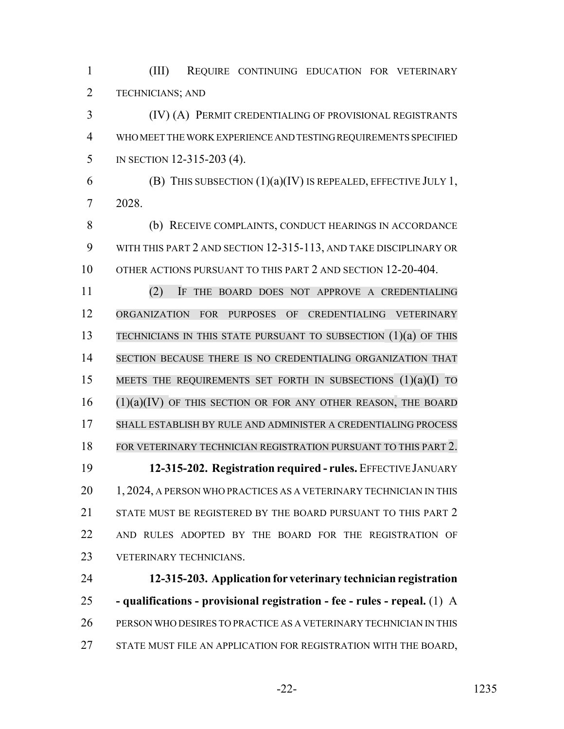(III) REQUIRE CONTINUING EDUCATION FOR VETERINARY TECHNICIANS; AND

 (IV) (A) PERMIT CREDENTIALING OF PROVISIONAL REGISTRANTS WHO MEET THE WORK EXPERIENCE AND TESTING REQUIREMENTS SPECIFIED IN SECTION 12-315-203 (4).

6 (B) THIS SUBSECTION  $(1)(a)(IV)$  IS REPEALED, EFFECTIVE JULY 1, 2028.

 (b) RECEIVE COMPLAINTS, CONDUCT HEARINGS IN ACCORDANCE WITH THIS PART 2 AND SECTION 12-315-113, AND TAKE DISCIPLINARY OR 10 OTHER ACTIONS PURSUANT TO THIS PART 2 AND SECTION 12-20-404.

 (2) IF THE BOARD DOES NOT APPROVE A CREDENTIALING ORGANIZATION FOR PURPOSES OF CREDENTIALING VETERINARY TECHNICIANS IN THIS STATE PURSUANT TO SUBSECTION (1)(a) OF THIS SECTION BECAUSE THERE IS NO CREDENTIALING ORGANIZATION THAT 15 MEETS THE REQUIREMENTS SET FORTH IN SUBSECTIONS (1)(a)(I) TO (1)(a)(IV) OF THIS SECTION OR FOR ANY OTHER REASON, THE BOARD SHALL ESTABLISH BY RULE AND ADMINISTER A CREDENTIALING PROCESS FOR VETERINARY TECHNICIAN REGISTRATION PURSUANT TO THIS PART 2. **12-315-202. Registration required - rules.** EFFECTIVE JANUARY 20 1, 2024, A PERSON WHO PRACTICES AS A VETERINARY TECHNICIAN IN THIS 21 STATE MUST BE REGISTERED BY THE BOARD PURSUANT TO THIS PART 2 AND RULES ADOPTED BY THE BOARD FOR THE REGISTRATION OF VETERINARY TECHNICIANS.

 **12-315-203. Application for veterinary technician registration - qualifications - provisional registration - fee - rules - repeal.** (1) A PERSON WHO DESIRES TO PRACTICE AS A VETERINARY TECHNICIAN IN THIS STATE MUST FILE AN APPLICATION FOR REGISTRATION WITH THE BOARD,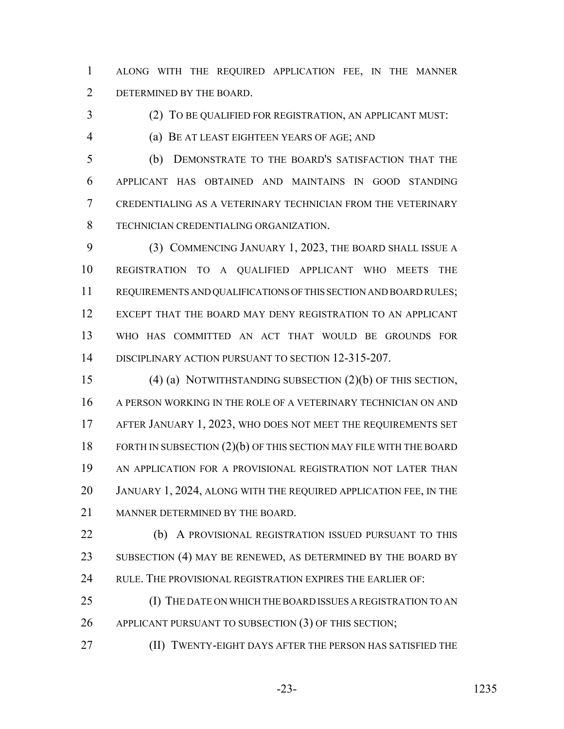ALONG WITH THE REQUIRED APPLICATION FEE, IN THE MANNER DETERMINED BY THE BOARD.

(2) TO BE QUALIFIED FOR REGISTRATION, AN APPLICANT MUST:

(a) BE AT LEAST EIGHTEEN YEARS OF AGE; AND

 (b) DEMONSTRATE TO THE BOARD'S SATISFACTION THAT THE APPLICANT HAS OBTAINED AND MAINTAINS IN GOOD STANDING CREDENTIALING AS A VETERINARY TECHNICIAN FROM THE VETERINARY TECHNICIAN CREDENTIALING ORGANIZATION.

 (3) COMMENCING JANUARY 1, 2023, THE BOARD SHALL ISSUE A REGISTRATION TO A QUALIFIED APPLICANT WHO MEETS THE REQUIREMENTS AND QUALIFICATIONS OF THIS SECTION AND BOARD RULES; EXCEPT THAT THE BOARD MAY DENY REGISTRATION TO AN APPLICANT WHO HAS COMMITTED AN ACT THAT WOULD BE GROUNDS FOR DISCIPLINARY ACTION PURSUANT TO SECTION 12-315-207.

 (4) (a) NOTWITHSTANDING SUBSECTION (2)(b) OF THIS SECTION, A PERSON WORKING IN THE ROLE OF A VETERINARY TECHNICIAN ON AND AFTER JANUARY 1, 2023, WHO DOES NOT MEET THE REQUIREMENTS SET 18 FORTH IN SUBSECTION (2)(b) OF THIS SECTION MAY FILE WITH THE BOARD AN APPLICATION FOR A PROVISIONAL REGISTRATION NOT LATER THAN JANUARY 1, 2024, ALONG WITH THE REQUIRED APPLICATION FEE, IN THE MANNER DETERMINED BY THE BOARD.

22 (b) A PROVISIONAL REGISTRATION ISSUED PURSUANT TO THIS 23 SUBSECTION (4) MAY BE RENEWED, AS DETERMINED BY THE BOARD BY 24 RULE. THE PROVISIONAL REGISTRATION EXPIRES THE EARLIER OF:

 (I) THE DATE ON WHICH THE BOARD ISSUES A REGISTRATION TO AN 26 APPLICANT PURSUANT TO SUBSECTION (3) OF THIS SECTION;

(II) TWENTY-EIGHT DAYS AFTER THE PERSON HAS SATISFIED THE

-23- 1235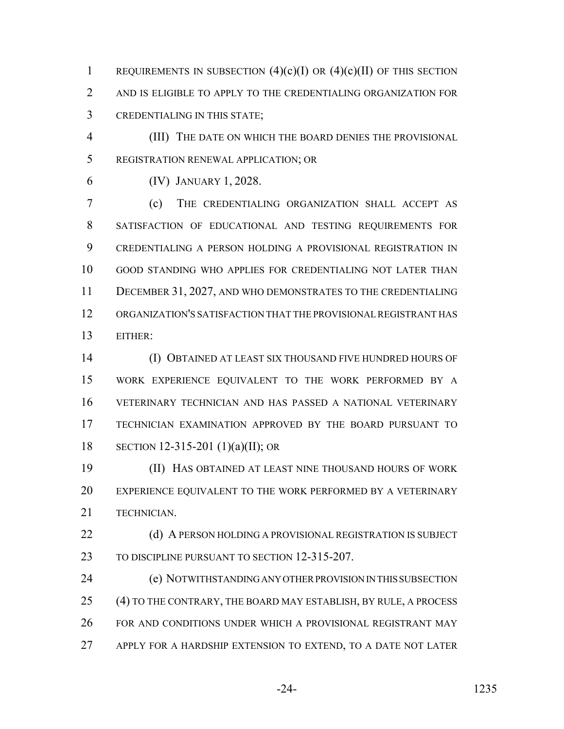1 REQUIREMENTS IN SUBSECTION  $(4)(c)(I)$  OR  $(4)(c)(II)$  OF THIS SECTION AND IS ELIGIBLE TO APPLY TO THE CREDENTIALING ORGANIZATION FOR CREDENTIALING IN THIS STATE;

 (III) THE DATE ON WHICH THE BOARD DENIES THE PROVISIONAL REGISTRATION RENEWAL APPLICATION; OR

(IV) JANUARY 1, 2028.

 (c) THE CREDENTIALING ORGANIZATION SHALL ACCEPT AS SATISFACTION OF EDUCATIONAL AND TESTING REQUIREMENTS FOR CREDENTIALING A PERSON HOLDING A PROVISIONAL REGISTRATION IN GOOD STANDING WHO APPLIES FOR CREDENTIALING NOT LATER THAN DECEMBER 31, 2027, AND WHO DEMONSTRATES TO THE CREDENTIALING ORGANIZATION'S SATISFACTION THAT THE PROVISIONAL REGISTRANT HAS EITHER:

 (I) OBTAINED AT LEAST SIX THOUSAND FIVE HUNDRED HOURS OF WORK EXPERIENCE EQUIVALENT TO THE WORK PERFORMED BY A VETERINARY TECHNICIAN AND HAS PASSED A NATIONAL VETERINARY TECHNICIAN EXAMINATION APPROVED BY THE BOARD PURSUANT TO SECTION 12-315-201 (1)(a)(II); OR

 (II) HAS OBTAINED AT LEAST NINE THOUSAND HOURS OF WORK EXPERIENCE EQUIVALENT TO THE WORK PERFORMED BY A VETERINARY TECHNICIAN.

22 (d) A PERSON HOLDING A PROVISIONAL REGISTRATION IS SUBJECT TO DISCIPLINE PURSUANT TO SECTION 12-315-207.

 (e) NOTWITHSTANDING ANY OTHER PROVISION IN THIS SUBSECTION (4) TO THE CONTRARY, THE BOARD MAY ESTABLISH, BY RULE, A PROCESS FOR AND CONDITIONS UNDER WHICH A PROVISIONAL REGISTRANT MAY APPLY FOR A HARDSHIP EXTENSION TO EXTEND, TO A DATE NOT LATER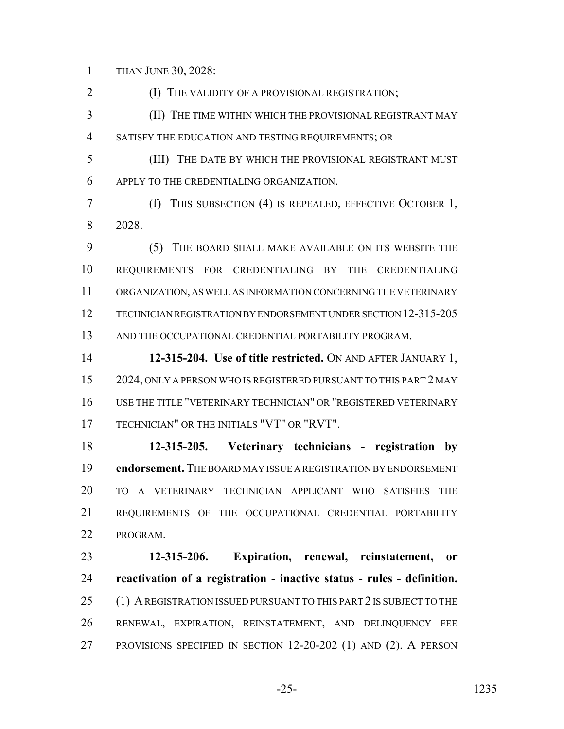THAN JUNE 30, 2028:

**(I) THE VALIDITY OF A PROVISIONAL REGISTRATION;** 

 (II) THE TIME WITHIN WHICH THE PROVISIONAL REGISTRANT MAY SATISFY THE EDUCATION AND TESTING REQUIREMENTS; OR

 (III) THE DATE BY WHICH THE PROVISIONAL REGISTRANT MUST APPLY TO THE CREDENTIALING ORGANIZATION.

 (f) THIS SUBSECTION (4) IS REPEALED, EFFECTIVE OCTOBER 1, 2028.

 (5) THE BOARD SHALL MAKE AVAILABLE ON ITS WEBSITE THE REQUIREMENTS FOR CREDENTIALING BY THE CREDENTIALING ORGANIZATION, AS WELL AS INFORMATION CONCERNING THE VETERINARY TECHNICIAN REGISTRATION BY ENDORSEMENT UNDER SECTION 12-315-205 13 AND THE OCCUPATIONAL CREDENTIAL PORTABILITY PROGRAM.

 **12-315-204. Use of title restricted.** ON AND AFTER JANUARY 1, 2024, ONLY A PERSON WHO IS REGISTERED PURSUANT TO THIS PART 2 MAY USE THE TITLE "VETERINARY TECHNICIAN" OR "REGISTERED VETERINARY TECHNICIAN" OR THE INITIALS "VT" OR "RVT".

 **12-315-205. Veterinary technicians - registration by endorsement.** THE BOARD MAY ISSUE A REGISTRATION BY ENDORSEMENT TO A VETERINARY TECHNICIAN APPLICANT WHO SATISFIES THE REQUIREMENTS OF THE OCCUPATIONAL CREDENTIAL PORTABILITY PROGRAM.

 **12-315-206. Expiration, renewal, reinstatement, or reactivation of a registration - inactive status - rules - definition.** 25 (1) A REGISTRATION ISSUED PURSUANT TO THIS PART 2 IS SUBJECT TO THE RENEWAL, EXPIRATION, REINSTATEMENT, AND DELINQUENCY FEE PROVISIONS SPECIFIED IN SECTION 12-20-202 (1) AND (2). A PERSON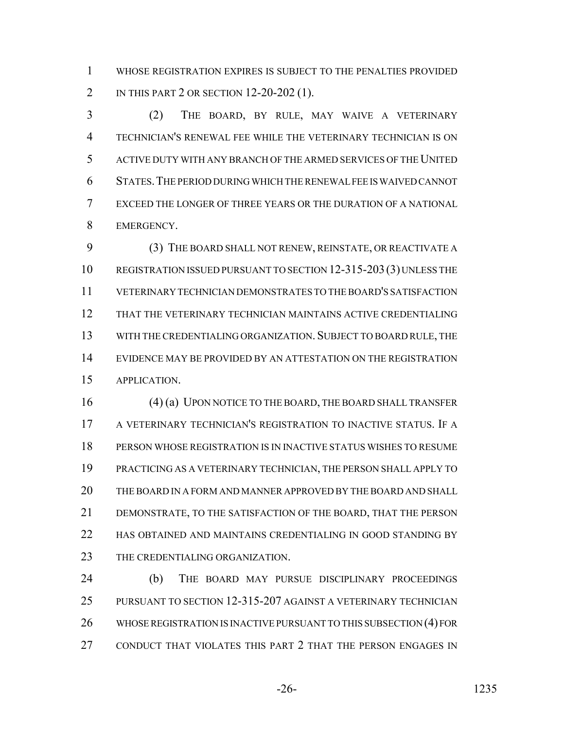WHOSE REGISTRATION EXPIRES IS SUBJECT TO THE PENALTIES PROVIDED 2 IN THIS PART 2 OR SECTION 12-20-202 (1).

 (2) THE BOARD, BY RULE, MAY WAIVE A VETERINARY TECHNICIAN'S RENEWAL FEE WHILE THE VETERINARY TECHNICIAN IS ON ACTIVE DUTY WITH ANY BRANCH OF THE ARMED SERVICES OF THE UNITED STATES.THE PERIOD DURING WHICH THE RENEWAL FEE IS WAIVED CANNOT EXCEED THE LONGER OF THREE YEARS OR THE DURATION OF A NATIONAL EMERGENCY.

 (3) THE BOARD SHALL NOT RENEW, REINSTATE, OR REACTIVATE A REGISTRATION ISSUED PURSUANT TO SECTION 12-315-203(3) UNLESS THE VETERINARY TECHNICIAN DEMONSTRATES TO THE BOARD'S SATISFACTION THAT THE VETERINARY TECHNICIAN MAINTAINS ACTIVE CREDENTIALING WITH THE CREDENTIALING ORGANIZATION.SUBJECT TO BOARD RULE, THE EVIDENCE MAY BE PROVIDED BY AN ATTESTATION ON THE REGISTRATION APPLICATION.

 (4) (a) UPON NOTICE TO THE BOARD, THE BOARD SHALL TRANSFER A VETERINARY TECHNICIAN'S REGISTRATION TO INACTIVE STATUS. IF A PERSON WHOSE REGISTRATION IS IN INACTIVE STATUS WISHES TO RESUME PRACTICING AS A VETERINARY TECHNICIAN, THE PERSON SHALL APPLY TO THE BOARD IN A FORM AND MANNER APPROVED BY THE BOARD AND SHALL DEMONSTRATE, TO THE SATISFACTION OF THE BOARD, THAT THE PERSON 22 HAS OBTAINED AND MAINTAINS CREDENTIALING IN GOOD STANDING BY 23 THE CREDENTIALING ORGANIZATION.

 (b) THE BOARD MAY PURSUE DISCIPLINARY PROCEEDINGS PURSUANT TO SECTION 12-315-207 AGAINST A VETERINARY TECHNICIAN WHOSE REGISTRATION IS INACTIVE PURSUANT TO THIS SUBSECTION (4) FOR CONDUCT THAT VIOLATES THIS PART 2 THAT THE PERSON ENGAGES IN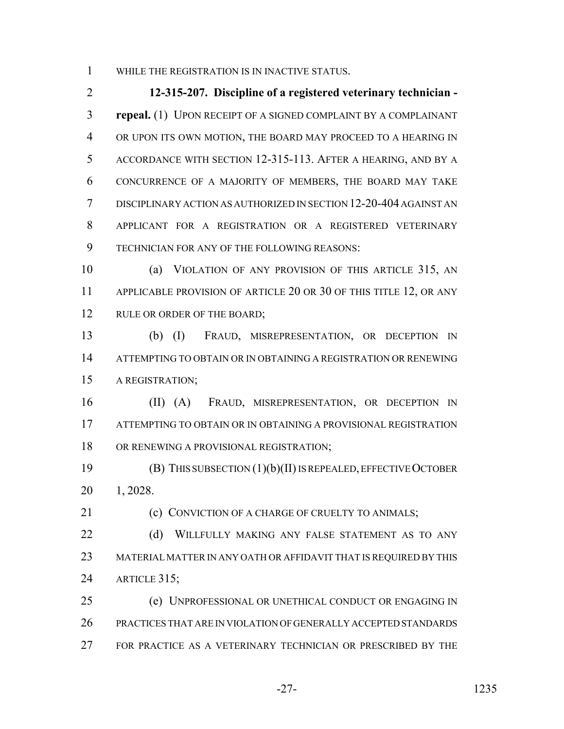WHILE THE REGISTRATION IS IN INACTIVE STATUS.

 **12-315-207. Discipline of a registered veterinary technician - repeal.** (1) UPON RECEIPT OF A SIGNED COMPLAINT BY A COMPLAINANT OR UPON ITS OWN MOTION, THE BOARD MAY PROCEED TO A HEARING IN ACCORDANCE WITH SECTION 12-315-113. AFTER A HEARING, AND BY A CONCURRENCE OF A MAJORITY OF MEMBERS, THE BOARD MAY TAKE DISCIPLINARY ACTION AS AUTHORIZED IN SECTION 12-20-404 AGAINST AN APPLICANT FOR A REGISTRATION OR A REGISTERED VETERINARY TECHNICIAN FOR ANY OF THE FOLLOWING REASONS:

 (a) VIOLATION OF ANY PROVISION OF THIS ARTICLE 315, AN 11 APPLICABLE PROVISION OF ARTICLE 20 OR 30 OF THIS TITLE 12, OR ANY 12 RULE OR ORDER OF THE BOARD;

 (b) (I) FRAUD, MISREPRESENTATION, OR DECEPTION IN ATTEMPTING TO OBTAIN OR IN OBTAINING A REGISTRATION OR RENEWING A REGISTRATION;

 (II) (A) FRAUD, MISREPRESENTATION, OR DECEPTION IN ATTEMPTING TO OBTAIN OR IN OBTAINING A PROVISIONAL REGISTRATION OR RENEWING A PROVISIONAL REGISTRATION;

 (B) THIS SUBSECTION (1)(b)(II) IS REPEALED, EFFECTIVE OCTOBER 1, 2028.

21 (c) CONVICTION OF A CHARGE OF CRUELTY TO ANIMALS:

22 (d) WILLFULLY MAKING ANY FALSE STATEMENT AS TO ANY MATERIAL MATTER IN ANY OATH OR AFFIDAVIT THAT IS REQUIRED BY THIS ARTICLE 315;

 (e) UNPROFESSIONAL OR UNETHICAL CONDUCT OR ENGAGING IN PRACTICES THAT ARE IN VIOLATION OF GENERALLY ACCEPTED STANDARDS FOR PRACTICE AS A VETERINARY TECHNICIAN OR PRESCRIBED BY THE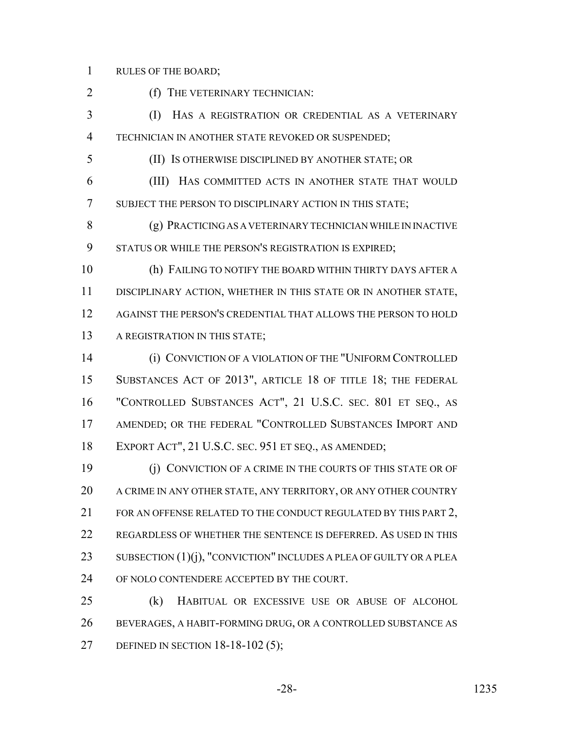RULES OF THE BOARD;

(f) THE VETERINARY TECHNICIAN:

 (I) HAS A REGISTRATION OR CREDENTIAL AS A VETERINARY TECHNICIAN IN ANOTHER STATE REVOKED OR SUSPENDED;

(II) IS OTHERWISE DISCIPLINED BY ANOTHER STATE; OR

 (III) HAS COMMITTED ACTS IN ANOTHER STATE THAT WOULD SUBJECT THE PERSON TO DISCIPLINARY ACTION IN THIS STATE;

 (g) PRACTICING AS A VETERINARY TECHNICIAN WHILE IN INACTIVE STATUS OR WHILE THE PERSON'S REGISTRATION IS EXPIRED;

 (h) FAILING TO NOTIFY THE BOARD WITHIN THIRTY DAYS AFTER A DISCIPLINARY ACTION, WHETHER IN THIS STATE OR IN ANOTHER STATE, AGAINST THE PERSON'S CREDENTIAL THAT ALLOWS THE PERSON TO HOLD 13 A REGISTRATION IN THIS STATE;

 (i) CONVICTION OF A VIOLATION OF THE "UNIFORM CONTROLLED SUBSTANCES ACT OF 2013", ARTICLE 18 OF TITLE 18; THE FEDERAL "CONTROLLED SUBSTANCES ACT", 21 U.S.C. SEC. 801 ET SEQ., AS AMENDED; OR THE FEDERAL "CONTROLLED SUBSTANCES IMPORT AND EXPORT ACT", 21 U.S.C. SEC. 951 ET SEQ., AS AMENDED;

 (j) CONVICTION OF A CRIME IN THE COURTS OF THIS STATE OR OF A CRIME IN ANY OTHER STATE, ANY TERRITORY, OR ANY OTHER COUNTRY 21 FOR AN OFFENSE RELATED TO THE CONDUCT REGULATED BY THIS PART 2, REGARDLESS OF WHETHER THE SENTENCE IS DEFERRED. AS USED IN THIS 23 SUBSECTION  $(1)(j)$ , "CONVICTION" INCLUDES A PLEA OF GUILTY OR A PLEA 24 OF NOLO CONTENDERE ACCEPTED BY THE COURT.

 (k) HABITUAL OR EXCESSIVE USE OR ABUSE OF ALCOHOL BEVERAGES, A HABIT-FORMING DRUG, OR A CONTROLLED SUBSTANCE AS DEFINED IN SECTION 18-18-102 (5);

-28- 1235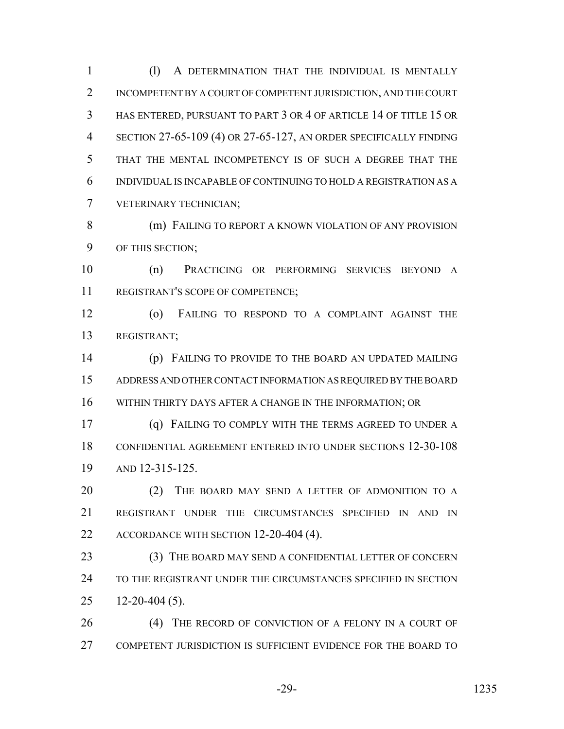(l) A DETERMINATION THAT THE INDIVIDUAL IS MENTALLY INCOMPETENT BY A COURT OF COMPETENT JURISDICTION, AND THE COURT HAS ENTERED, PURSUANT TO PART 3 OR 4 OF ARTICLE 14 OF TITLE 15 OR SECTION 27-65-109 (4) OR 27-65-127, AN ORDER SPECIFICALLY FINDING THAT THE MENTAL INCOMPETENCY IS OF SUCH A DEGREE THAT THE INDIVIDUAL IS INCAPABLE OF CONTINUING TO HOLD A REGISTRATION AS A VETERINARY TECHNICIAN;

8 (m) FAILING TO REPORT A KNOWN VIOLATION OF ANY PROVISION OF THIS SECTION;

 (n) PRACTICING OR PERFORMING SERVICES BEYOND A REGISTRANT'S SCOPE OF COMPETENCE;

 (o) FAILING TO RESPOND TO A COMPLAINT AGAINST THE REGISTRANT;

 (p) FAILING TO PROVIDE TO THE BOARD AN UPDATED MAILING ADDRESS AND OTHER CONTACT INFORMATION AS REQUIRED BY THE BOARD WITHIN THIRTY DAYS AFTER A CHANGE IN THE INFORMATION; OR

 (q) FAILING TO COMPLY WITH THE TERMS AGREED TO UNDER A CONFIDENTIAL AGREEMENT ENTERED INTO UNDER SECTIONS 12-30-108 AND 12-315-125.

20 (2) THE BOARD MAY SEND A LETTER OF ADMONITION TO A REGISTRANT UNDER THE CIRCUMSTANCES SPECIFIED IN AND IN 22 ACCORDANCE WITH SECTION 12-20-404 (4).

23 (3) THE BOARD MAY SEND A CONFIDENTIAL LETTER OF CONCERN TO THE REGISTRANT UNDER THE CIRCUMSTANCES SPECIFIED IN SECTION 12-20-404 (5).

 (4) THE RECORD OF CONVICTION OF A FELONY IN A COURT OF COMPETENT JURISDICTION IS SUFFICIENT EVIDENCE FOR THE BOARD TO

-29- 1235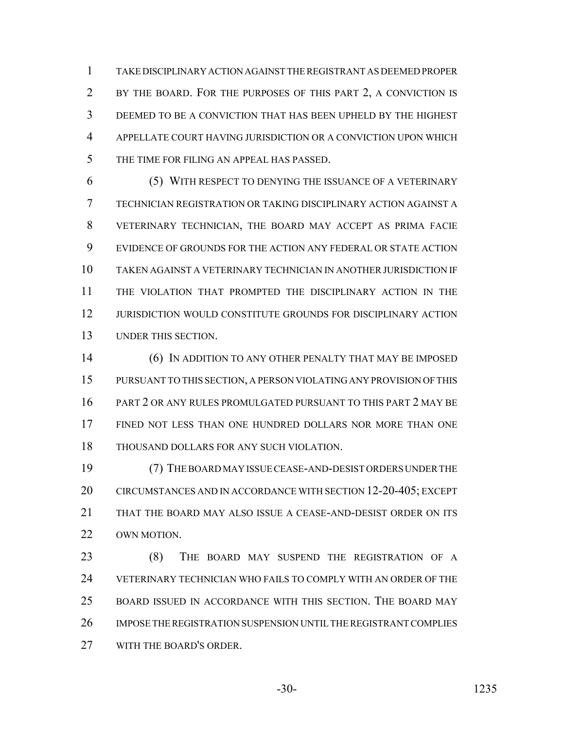TAKE DISCIPLINARY ACTION AGAINST THE REGISTRANT AS DEEMED PROPER BY THE BOARD. FOR THE PURPOSES OF THIS PART 2, A CONVICTION IS DEEMED TO BE A CONVICTION THAT HAS BEEN UPHELD BY THE HIGHEST APPELLATE COURT HAVING JURISDICTION OR A CONVICTION UPON WHICH THE TIME FOR FILING AN APPEAL HAS PASSED.

 (5) WITH RESPECT TO DENYING THE ISSUANCE OF A VETERINARY TECHNICIAN REGISTRATION OR TAKING DISCIPLINARY ACTION AGAINST A VETERINARY TECHNICIAN, THE BOARD MAY ACCEPT AS PRIMA FACIE EVIDENCE OF GROUNDS FOR THE ACTION ANY FEDERAL OR STATE ACTION TAKEN AGAINST A VETERINARY TECHNICIAN IN ANOTHER JURISDICTION IF THE VIOLATION THAT PROMPTED THE DISCIPLINARY ACTION IN THE JURISDICTION WOULD CONSTITUTE GROUNDS FOR DISCIPLINARY ACTION UNDER THIS SECTION.

 (6) IN ADDITION TO ANY OTHER PENALTY THAT MAY BE IMPOSED PURSUANT TO THIS SECTION, A PERSON VIOLATING ANY PROVISION OF THIS PART 2 OR ANY RULES PROMULGATED PURSUANT TO THIS PART 2 MAY BE FINED NOT LESS THAN ONE HUNDRED DOLLARS NOR MORE THAN ONE THOUSAND DOLLARS FOR ANY SUCH VIOLATION.

 (7) THE BOARD MAY ISSUE CEASE-AND-DESIST ORDERS UNDER THE CIRCUMSTANCES AND IN ACCORDANCE WITH SECTION 12-20-405; EXCEPT THAT THE BOARD MAY ALSO ISSUE A CEASE-AND-DESIST ORDER ON ITS OWN MOTION.

 (8) THE BOARD MAY SUSPEND THE REGISTRATION OF A VETERINARY TECHNICIAN WHO FAILS TO COMPLY WITH AN ORDER OF THE BOARD ISSUED IN ACCORDANCE WITH THIS SECTION. THE BOARD MAY IMPOSE THE REGISTRATION SUSPENSION UNTIL THE REGISTRANT COMPLIES WITH THE BOARD'S ORDER.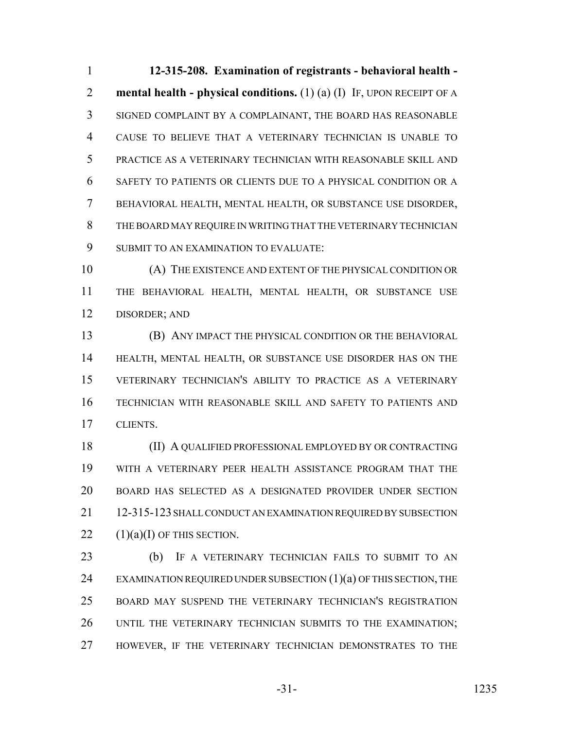**12-315-208. Examination of registrants - behavioral health - mental health - physical conditions.** (1) (a) (I) IF, UPON RECEIPT OF A SIGNED COMPLAINT BY A COMPLAINANT, THE BOARD HAS REASONABLE CAUSE TO BELIEVE THAT A VETERINARY TECHNICIAN IS UNABLE TO PRACTICE AS A VETERINARY TECHNICIAN WITH REASONABLE SKILL AND SAFETY TO PATIENTS OR CLIENTS DUE TO A PHYSICAL CONDITION OR A BEHAVIORAL HEALTH, MENTAL HEALTH, OR SUBSTANCE USE DISORDER, THE BOARD MAY REQUIRE IN WRITING THAT THE VETERINARY TECHNICIAN SUBMIT TO AN EXAMINATION TO EVALUATE:

 (A) THE EXISTENCE AND EXTENT OF THE PHYSICAL CONDITION OR THE BEHAVIORAL HEALTH, MENTAL HEALTH, OR SUBSTANCE USE DISORDER; AND

 (B) ANY IMPACT THE PHYSICAL CONDITION OR THE BEHAVIORAL HEALTH, MENTAL HEALTH, OR SUBSTANCE USE DISORDER HAS ON THE VETERINARY TECHNICIAN'S ABILITY TO PRACTICE AS A VETERINARY TECHNICIAN WITH REASONABLE SKILL AND SAFETY TO PATIENTS AND CLIENTS.

 (II) A QUALIFIED PROFESSIONAL EMPLOYED BY OR CONTRACTING WITH A VETERINARY PEER HEALTH ASSISTANCE PROGRAM THAT THE BOARD HAS SELECTED AS A DESIGNATED PROVIDER UNDER SECTION 12-315-123 SHALL CONDUCT AN EXAMINATION REQUIRED BY SUBSECTION  $(1)(a)(I)$  OF THIS SECTION.

 (b) IF A VETERINARY TECHNICIAN FAILS TO SUBMIT TO AN 24 EXAMINATION REQUIRED UNDER SUBSECTION  $(1)(a)$  OF THIS SECTION, THE BOARD MAY SUSPEND THE VETERINARY TECHNICIAN'S REGISTRATION UNTIL THE VETERINARY TECHNICIAN SUBMITS TO THE EXAMINATION; HOWEVER, IF THE VETERINARY TECHNICIAN DEMONSTRATES TO THE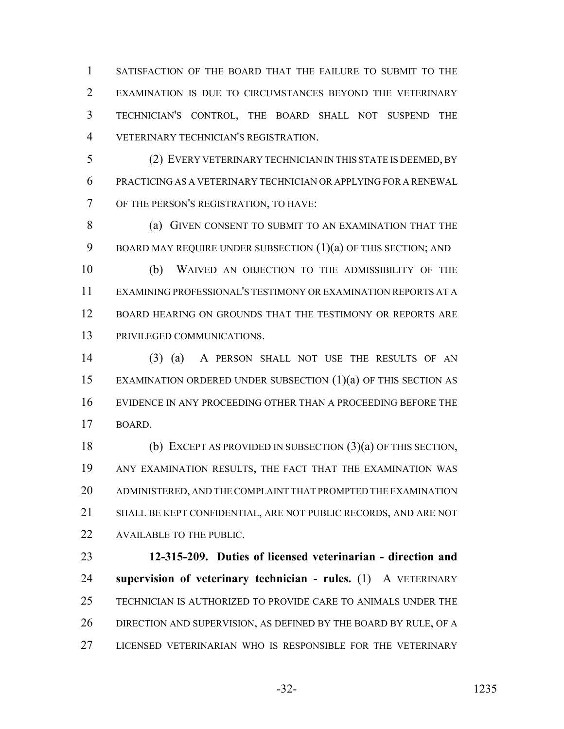SATISFACTION OF THE BOARD THAT THE FAILURE TO SUBMIT TO THE EXAMINATION IS DUE TO CIRCUMSTANCES BEYOND THE VETERINARY TECHNICIAN'S CONTROL, THE BOARD SHALL NOT SUSPEND THE VETERINARY TECHNICIAN'S REGISTRATION.

 (2) EVERY VETERINARY TECHNICIAN IN THIS STATE IS DEEMED, BY PRACTICING AS A VETERINARY TECHNICIAN OR APPLYING FOR A RENEWAL OF THE PERSON'S REGISTRATION, TO HAVE:

**(a) GIVEN CONSENT TO SUBMIT TO AN EXAMINATION THAT THE** 9 BOARD MAY REQUIRE UNDER SUBSECTION (1)(a) OF THIS SECTION; AND

 (b) WAIVED AN OBJECTION TO THE ADMISSIBILITY OF THE EXAMINING PROFESSIONAL'S TESTIMONY OR EXAMINATION REPORTS AT A BOARD HEARING ON GROUNDS THAT THE TESTIMONY OR REPORTS ARE PRIVILEGED COMMUNICATIONS.

 (3) (a) A PERSON SHALL NOT USE THE RESULTS OF AN EXAMINATION ORDERED UNDER SUBSECTION (1)(a) OF THIS SECTION AS EVIDENCE IN ANY PROCEEDING OTHER THAN A PROCEEDING BEFORE THE BOARD.

 (b) EXCEPT AS PROVIDED IN SUBSECTION (3)(a) OF THIS SECTION, ANY EXAMINATION RESULTS, THE FACT THAT THE EXAMINATION WAS ADMINISTERED, AND THE COMPLAINT THAT PROMPTED THE EXAMINATION SHALL BE KEPT CONFIDENTIAL, ARE NOT PUBLIC RECORDS, AND ARE NOT AVAILABLE TO THE PUBLIC.

 **12-315-209. Duties of licensed veterinarian - direction and supervision of veterinary technician - rules.** (1) A VETERINARY TECHNICIAN IS AUTHORIZED TO PROVIDE CARE TO ANIMALS UNDER THE 26 DIRECTION AND SUPERVISION, AS DEFINED BY THE BOARD BY RULE, OF A LICENSED VETERINARIAN WHO IS RESPONSIBLE FOR THE VETERINARY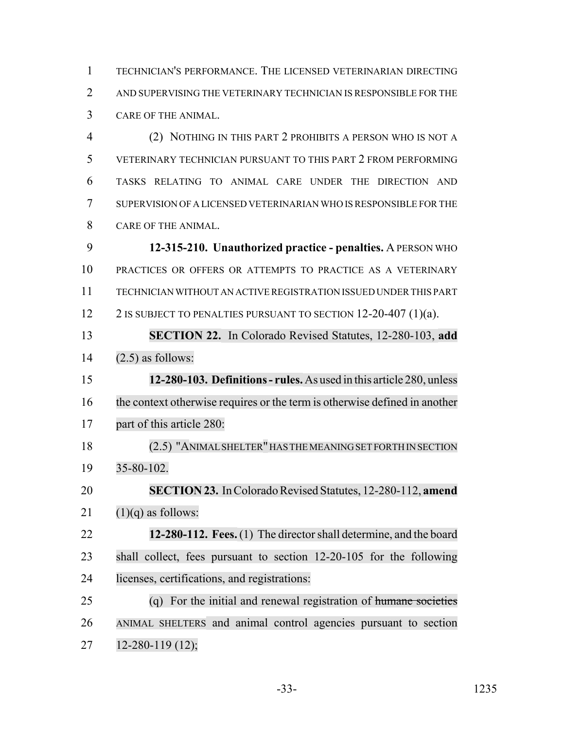TECHNICIAN'S PERFORMANCE. THE LICENSED VETERINARIAN DIRECTING AND SUPERVISING THE VETERINARY TECHNICIAN IS RESPONSIBLE FOR THE CARE OF THE ANIMAL.

 (2) NOTHING IN THIS PART 2 PROHIBITS A PERSON WHO IS NOT A VETERINARY TECHNICIAN PURSUANT TO THIS PART 2 FROM PERFORMING TASKS RELATING TO ANIMAL CARE UNDER THE DIRECTION AND SUPERVISION OF A LICENSED VETERINARIAN WHO IS RESPONSIBLE FOR THE CARE OF THE ANIMAL.

 **12-315-210. Unauthorized practice - penalties.** A PERSON WHO PRACTICES OR OFFERS OR ATTEMPTS TO PRACTICE AS A VETERINARY TECHNICIAN WITHOUT AN ACTIVE REGISTRATION ISSUED UNDER THIS PART 12 2 IS SUBJECT TO PENALTIES PURSUANT TO SECTION 12-20-407 (1)(a).

 **SECTION 22.** In Colorado Revised Statutes, 12-280-103, **add** (2.5) as follows:

 **12-280-103. Definitions - rules.** As used in this article 280, unless the context otherwise requires or the term is otherwise defined in another part of this article 280:

 (2.5) "ANIMALSHELTER"HAS THE MEANING SET FORTH IN SECTION 35-80-102.

**SECTION 23.** In Colorado Revised Statutes, 12-280-112, **amend**

21  $(1)(q)$  as follows:

 **12-280-112. Fees.**(1) The director shall determine, and the board shall collect, fees pursuant to section 12-20-105 for the following licenses, certifications, and registrations:

 (q) For the initial and renewal registration of humane societies ANIMAL SHELTERS and animal control agencies pursuant to section 12-280-119 (12);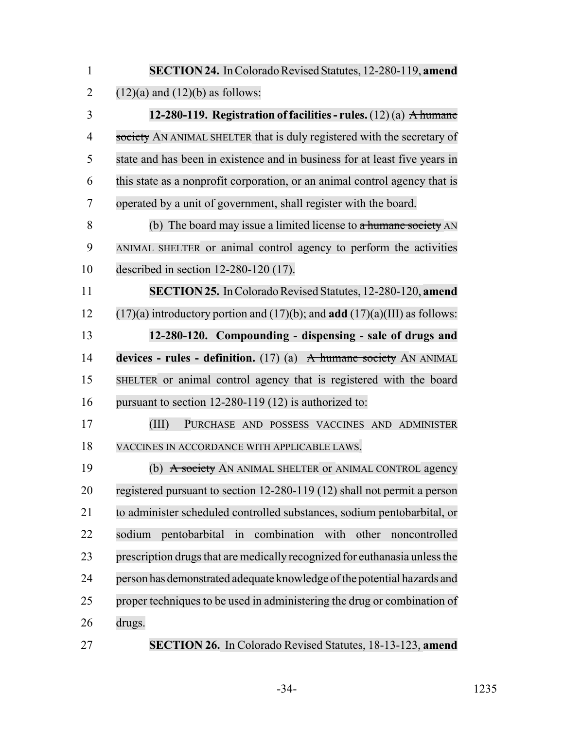| $\mathbf{1}$   | SECTION 24. In Colorado Revised Statutes, 12-280-119, amend                              |
|----------------|------------------------------------------------------------------------------------------|
| $\overline{2}$ | $(12)(a)$ and $(12)(b)$ as follows:                                                      |
| 3              | 12-280-119. Registration of facilities - rules. $(12)(a)$ A humane                       |
| 4              | society AN ANIMAL SHELTER that is duly registered with the secretary of                  |
| 5              | state and has been in existence and in business for at least five years in               |
| 6              | this state as a nonprofit corporation, or an animal control agency that is               |
| 7              | operated by a unit of government, shall register with the board.                         |
| 8              | (b) The board may issue a limited license to $\alpha$ humane society AN                  |
| 9              | ANIMAL SHELTER or animal control agency to perform the activities                        |
| 10             | described in section $12-280-120$ (17).                                                  |
| 11             | SECTION 25. In Colorado Revised Statutes, 12-280-120, amend                              |
| 12             | $(17)(a)$ introductory portion and $(17)(b)$ ; and <b>add</b> $(17)(a)(III)$ as follows: |
| 13             | 12-280-120. Compounding - dispensing - sale of drugs and                                 |
| 14             | devices - rules - definition. $(17)$ (a) A humane society AN ANIMAL                      |
| 15             | SHELTER or animal control agency that is registered with the board                       |
| 16             | pursuant to section $12-280-119(12)$ is authorized to:                                   |
| 17             | (III)<br>PURCHASE AND POSSESS VACCINES AND ADMINISTER                                    |
| 18             | VACCINES IN ACCORDANCE WITH APPLICABLE LAWS.                                             |
| 19             | (b) A society AN ANIMAL SHELTER or ANIMAL CONTROL agency                                 |
| 20             | registered pursuant to section 12-280-119 (12) shall not permit a person                 |
| 21             | to administer scheduled controlled substances, sodium pentobarbital, or                  |
| 22             | combination<br>in<br>with<br>other<br>pentobarbital<br>sodium<br>noncontrolled           |
| 23             | prescription drugs that are medically recognized for euthanasia unless the               |
| 24             | person has demonstrated adequate knowledge of the potential hazards and                  |
| 25             | proper techniques to be used in administering the drug or combination of                 |
| 26             | drugs.                                                                                   |
| 27             | <b>SECTION 26.</b> In Colorado Revised Statutes, 18-13-123, amend                        |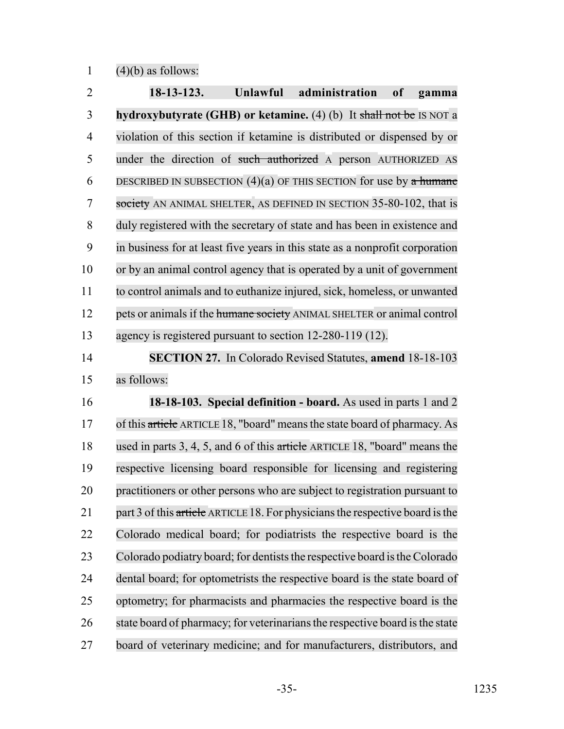1  $(4)(b)$  as follows:

 **18-13-123. Unlawful administration of gamma hydroxybutyrate (GHB) or ketamine.** (4) (b) It shall not be IS NOT a violation of this section if ketamine is distributed or dispensed by or 5 under the direction of such authorized A person AUTHORIZED AS 6 DESCRIBED IN SUBSECTION  $(4)(a)$  OF THIS SECTION for use by a humane 7 society AN ANIMAL SHELTER, AS DEFINED IN SECTION 35-80-102, that is duly registered with the secretary of state and has been in existence and in business for at least five years in this state as a nonprofit corporation or by an animal control agency that is operated by a unit of government to control animals and to euthanize injured, sick, homeless, or unwanted 12 pets or animals if the humane society ANIMAL SHELTER or animal control agency is registered pursuant to section 12-280-119 (12). **SECTION 27.** In Colorado Revised Statutes, **amend** 18-18-103

as follows:

 **18-18-103. Special definition - board.** As used in parts 1 and 2 17 of this article ARTICLE 18, "board" means the state board of pharmacy. As used in parts 3, 4, 5, and 6 of this article ARTICLE 18, "board" means the respective licensing board responsible for licensing and registering practitioners or other persons who are subject to registration pursuant to 21 part 3 of this article ARTICLE 18. For physicians the respective board is the Colorado medical board; for podiatrists the respective board is the 23 Colorado podiatry board; for dentists the respective board is the Colorado dental board; for optometrists the respective board is the state board of optometry; for pharmacists and pharmacies the respective board is the 26 state board of pharmacy; for veterinarians the respective board is the state board of veterinary medicine; and for manufacturers, distributors, and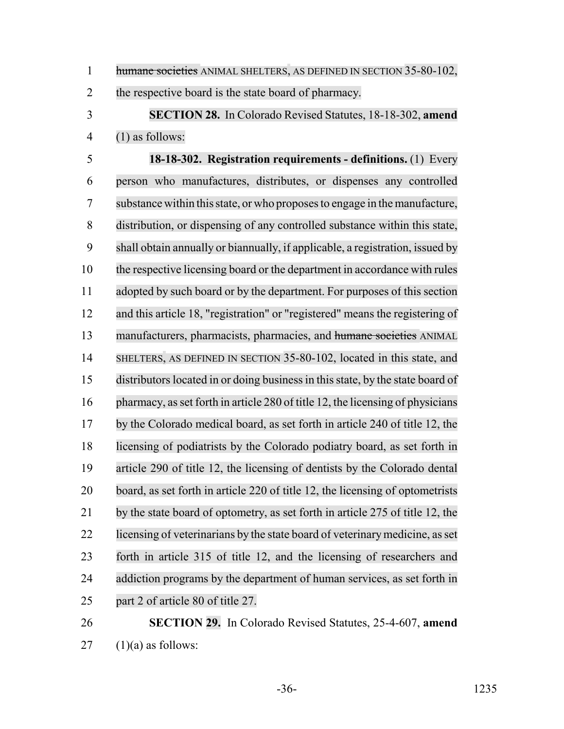1 humane societies ANIMAL SHELTERS, AS DEFINED IN SECTION 35-80-102,

the respective board is the state board of pharmacy.

 **SECTION 28.** In Colorado Revised Statutes, 18-18-302, **amend** (1) as follows:

 **18-18-302. Registration requirements - definitions.** (1) Every person who manufactures, distributes, or dispenses any controlled substance within thisstate, or who proposesto engage in themanufacture, distribution, or dispensing of any controlled substance within this state, shall obtain annually or biannually, if applicable, a registration, issued by the respective licensing board or the department in accordance with rules adopted by such board or by the department. For purposes of this section and this article 18, "registration" or "registered" means the registering of manufacturers, pharmacists, pharmacies, and humane societies ANIMAL 14 SHELTERS, AS DEFINED IN SECTION 35-80-102, located in this state, and 15 distributors located in or doing business in this state, by the state board of pharmacy, asset forth in article 280 of title 12, the licensing of physicians by the Colorado medical board, as set forth in article 240 of title 12, the licensing of podiatrists by the Colorado podiatry board, as set forth in article 290 of title 12, the licensing of dentists by the Colorado dental board, as set forth in article 220 of title 12, the licensing of optometrists by the state board of optometry, as set forth in article 275 of title 12, the 22 licensing of veterinarians by the state board of veterinary medicine, as set forth in article 315 of title 12, and the licensing of researchers and 24 addiction programs by the department of human services, as set forth in part 2 of article 80 of title 27.

# **SECTION 29.** In Colorado Revised Statutes, 25-4-607, **amend** (1)(a) as follows: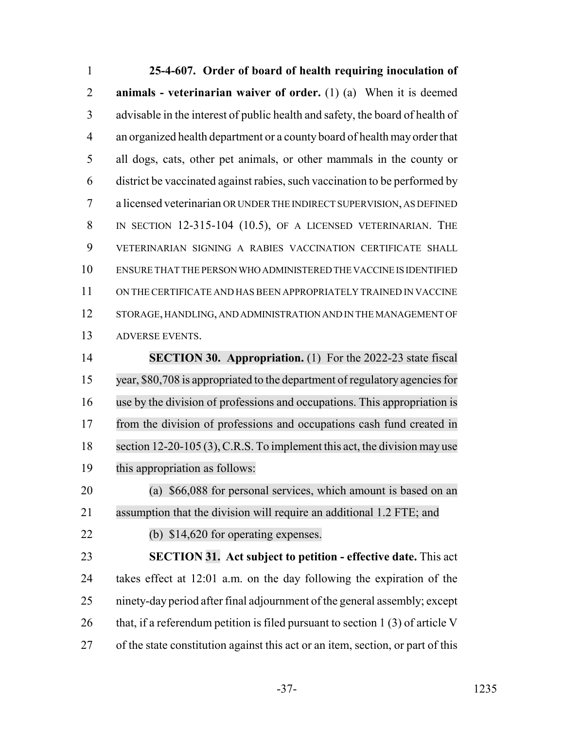**25-4-607. Order of board of health requiring inoculation of animals - veterinarian waiver of order.** (1) (a) When it is deemed advisable in the interest of public health and safety, the board of health of an organized health department or a county board of health may order that all dogs, cats, other pet animals, or other mammals in the county or district be vaccinated against rabies, such vaccination to be performed by a licensed veterinarian OR UNDER THE INDIRECT SUPERVISION, AS DEFINED 8 IN SECTION 12-315-104 (10.5), OF A LICENSED VETERINARIAN. THE VETERINARIAN SIGNING A RABIES VACCINATION CERTIFICATE SHALL ENSURE THAT THE PERSON WHO ADMINISTERED THE VACCINE IS IDENTIFIED ON THE CERTIFICATE AND HAS BEEN APPROPRIATELY TRAINED IN VACCINE STORAGE, HANDLING, AND ADMINISTRATION AND IN THE MANAGEMENT OF ADVERSE EVENTS. **SECTION 30. Appropriation.** (1) For the 2022-23 state fiscal year, \$80,708 is appropriated to the department of regulatory agenciesfor

 use by the division of professions and occupations. This appropriation is from the division of professions and occupations cash fund created in 18 section 12-20-105 (3), C.R.S. To implement this act, the division may use this appropriation as follows:

 (a) \$66,088 for personal services, which amount is based on an assumption that the division will require an additional 1.2 FTE; and

(b) \$14,620 for operating expenses.

 **SECTION 31. Act subject to petition - effective date.** This act takes effect at 12:01 a.m. on the day following the expiration of the ninety-day period after final adjournment of the general assembly; except 26 that, if a referendum petition is filed pursuant to section 1 (3) of article V of the state constitution against this act or an item, section, or part of this